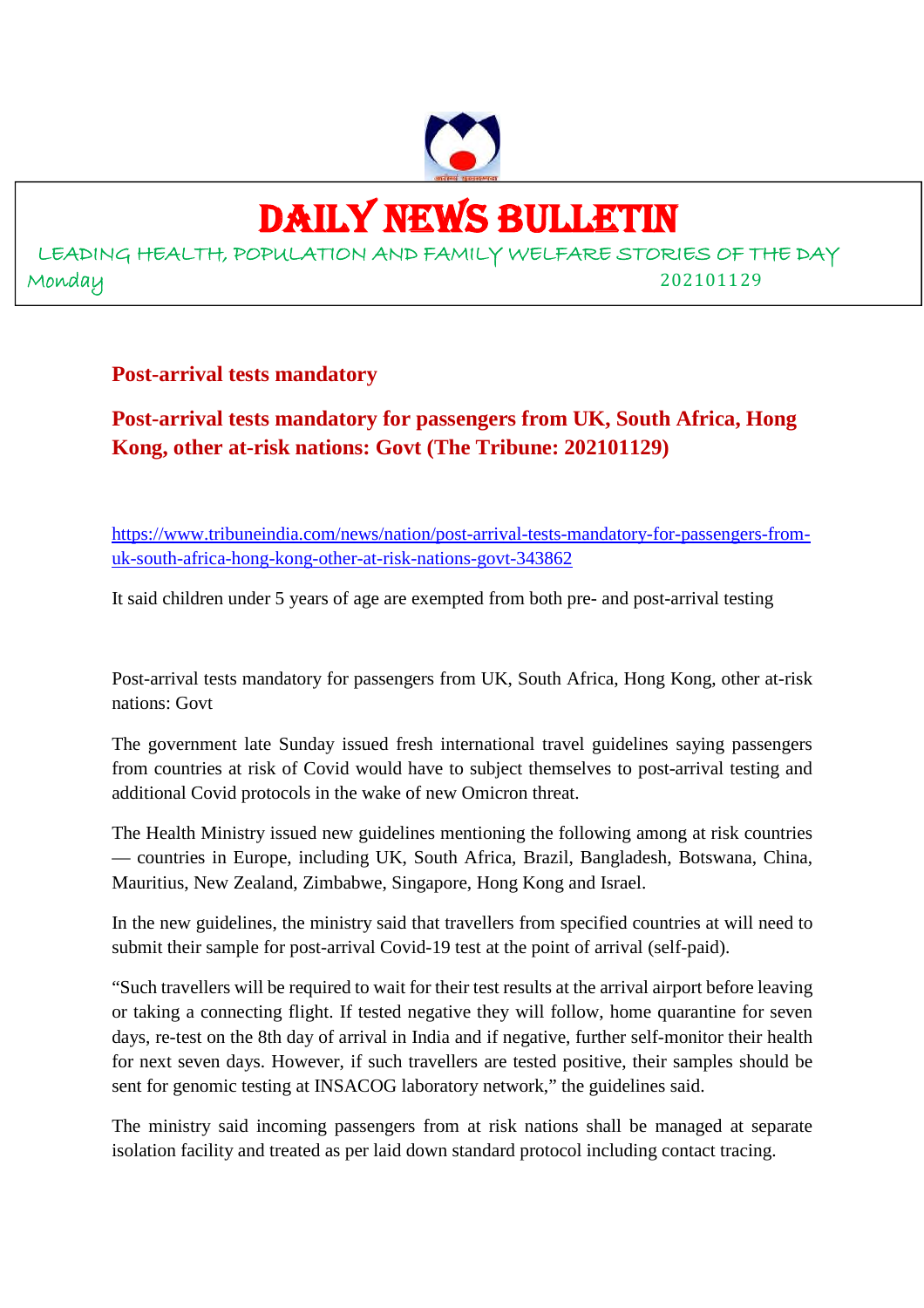

# DAILY NEWS BULLETIN

LEADING HEALTH, POPULATION AND FAMILY WELFARE STORIES OF THE DAY Monday 202101129

**Post-arrival tests mandatory**

# **Post-arrival tests mandatory for passengers from UK, South Africa, Hong Kong, other at-risk nations: Govt (The Tribune: 202101129)**

https://www.tribuneindia.com/news/nation/post-arrival-tests-mandatory-for-passengers-fromuk-south-africa-hong-kong-other-at-risk-nations-govt-343862

It said children under 5 years of age are exempted from both pre- and post-arrival testing

Post-arrival tests mandatory for passengers from UK, South Africa, Hong Kong, other at-risk nations: Govt

The government late Sunday issued fresh international travel guidelines saying passengers from countries at risk of Covid would have to subject themselves to post-arrival testing and additional Covid protocols in the wake of new Omicron threat.

The Health Ministry issued new guidelines mentioning the following among at risk countries — countries in Europe, including UK, South Africa, Brazil, Bangladesh, Botswana, China, Mauritius, New Zealand, Zimbabwe, Singapore, Hong Kong and Israel.

In the new guidelines, the ministry said that travellers from specified countries at will need to submit their sample for post-arrival Covid-19 test at the point of arrival (self-paid).

"Such travellers will be required to wait for their test results at the arrival airport before leaving or taking a connecting flight. If tested negative they will follow, home quarantine for seven days, re-test on the 8th day of arrival in India and if negative, further self-monitor their health for next seven days. However, if such travellers are tested positive, their samples should be sent for genomic testing at INSACOG laboratory network," the guidelines said.

The ministry said incoming passengers from at risk nations shall be managed at separate isolation facility and treated as per laid down standard protocol including contact tracing.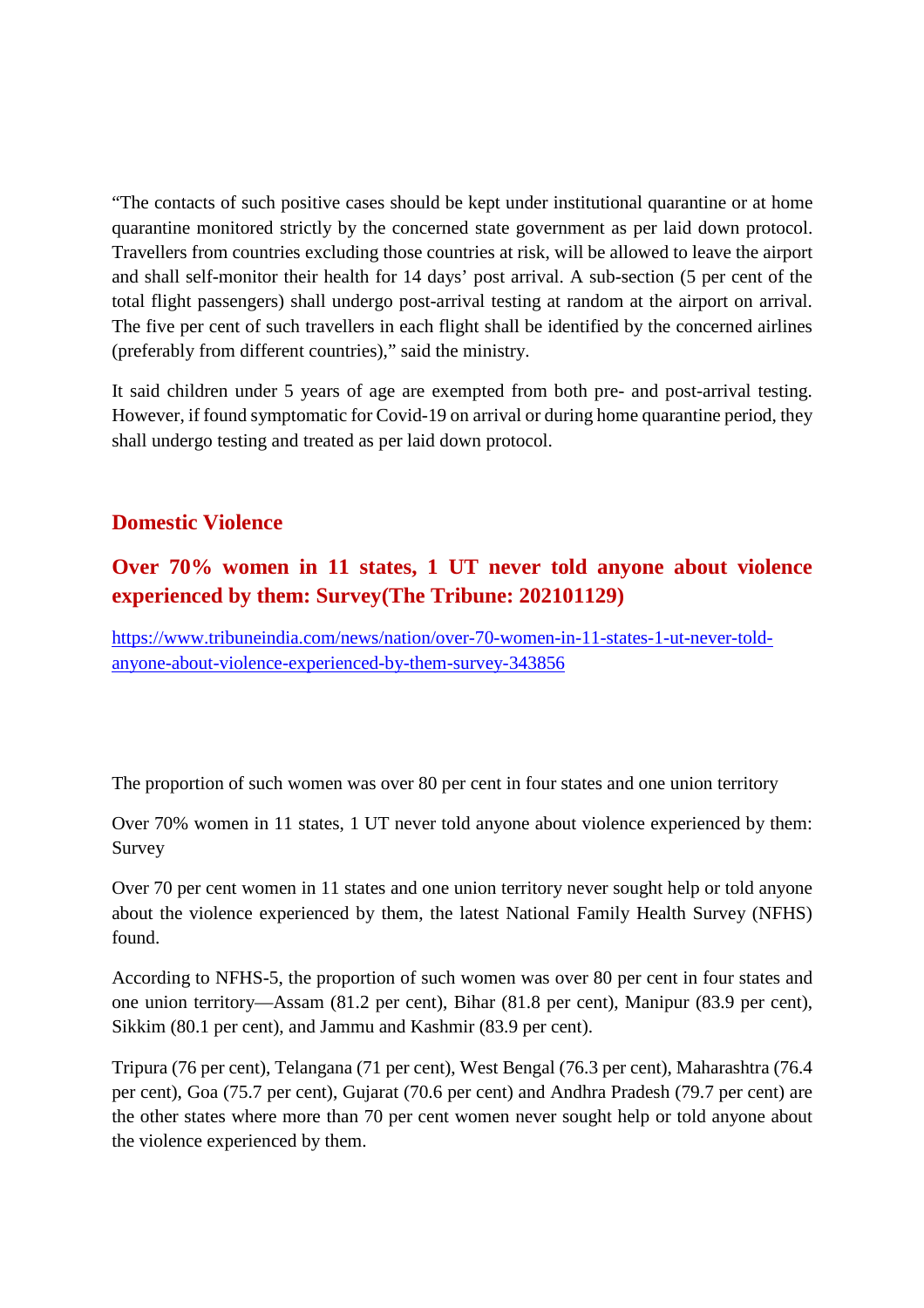"The contacts of such positive cases should be kept under institutional quarantine or at home quarantine monitored strictly by the concerned state government as per laid down protocol. Travellers from countries excluding those countries at risk, will be allowed to leave the airport and shall self-monitor their health for 14 days' post arrival. A sub-section (5 per cent of the total flight passengers) shall undergo post-arrival testing at random at the airport on arrival. The five per cent of such travellers in each flight shall be identified by the concerned airlines (preferably from different countries)," said the ministry.

It said children under 5 years of age are exempted from both pre- and post-arrival testing. However, if found symptomatic for Covid-19 on arrival or during home quarantine period, they shall undergo testing and treated as per laid down protocol.

# **Domestic Violence**

# **Over 70% women in 11 states, 1 UT never told anyone about violence experienced by them: Survey(The Tribune: 202101129)**

https://www.tribuneindia.com/news/nation/over-70-women-in-11-states-1-ut-never-toldanyone-about-violence-experienced-by-them-survey-343856

The proportion of such women was over 80 per cent in four states and one union territory

Over 70% women in 11 states, 1 UT never told anyone about violence experienced by them: Survey

Over 70 per cent women in 11 states and one union territory never sought help or told anyone about the violence experienced by them, the latest National Family Health Survey (NFHS) found.

According to NFHS-5, the proportion of such women was over 80 per cent in four states and one union territory—Assam (81.2 per cent), Bihar (81.8 per cent), Manipur (83.9 per cent), Sikkim (80.1 per cent), and Jammu and Kashmir (83.9 per cent).

Tripura (76 per cent), Telangana (71 per cent), West Bengal (76.3 per cent), Maharashtra (76.4 per cent), Goa (75.7 per cent), Gujarat (70.6 per cent) and Andhra Pradesh (79.7 per cent) are the other states where more than 70 per cent women never sought help or told anyone about the violence experienced by them.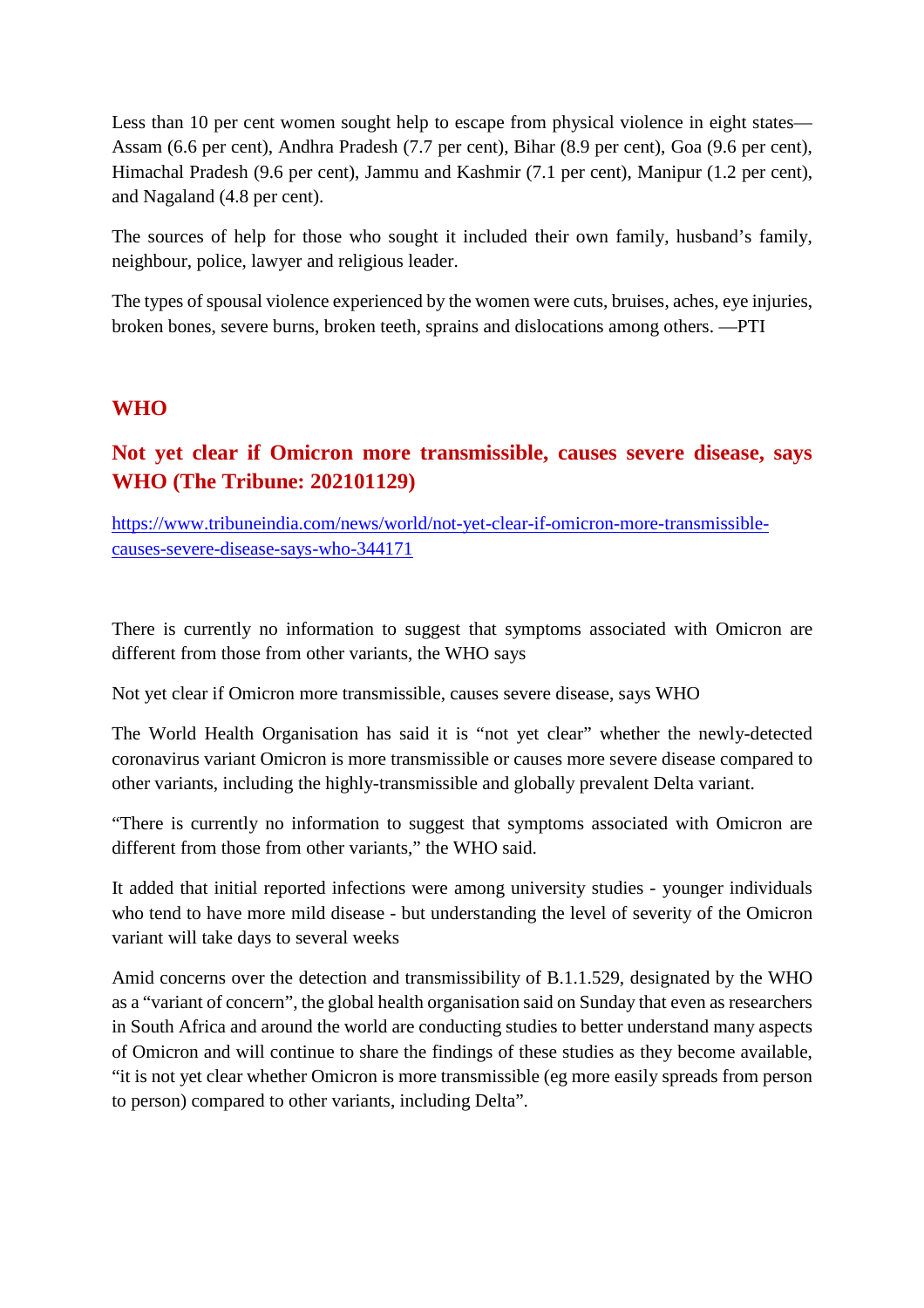Less than 10 per cent women sought help to escape from physical violence in eight states— Assam (6.6 per cent), Andhra Pradesh (7.7 per cent), Bihar (8.9 per cent), Goa (9.6 per cent), Himachal Pradesh (9.6 per cent), Jammu and Kashmir (7.1 per cent), Manipur (1.2 per cent), and Nagaland (4.8 per cent).

The sources of help for those who sought it included their own family, husband's family, neighbour, police, lawyer and religious leader.

The types of spousal violence experienced by the women were cuts, bruises, aches, eye injuries, broken bones, severe burns, broken teeth, sprains and dislocations among others. —PTI

#### **WHO**

# **Not yet clear if Omicron more transmissible, causes severe disease, says WHO (The Tribune: 202101129)**

https://www.tribuneindia.com/news/world/not-yet-clear-if-omicron-more-transmissiblecauses-severe-disease-says-who-344171

There is currently no information to suggest that symptoms associated with Omicron are different from those from other variants, the WHO says

Not yet clear if Omicron more transmissible, causes severe disease, says WHO

The World Health Organisation has said it is "not yet clear" whether the newly-detected coronavirus variant Omicron is more transmissible or causes more severe disease compared to other variants, including the highly-transmissible and globally prevalent Delta variant.

"There is currently no information to suggest that symptoms associated with Omicron are different from those from other variants," the WHO said.

It added that initial reported infections were among university studies - younger individuals who tend to have more mild disease - but understanding the level of severity of the Omicron variant will take days to several weeks

Amid concerns over the detection and transmissibility of B.1.1.529, designated by the WHO as a "variant of concern", the global health organisation said on Sunday that even as researchers in South Africa and around the world are conducting studies to better understand many aspects of Omicron and will continue to share the findings of these studies as they become available, "it is not yet clear whether Omicron is more transmissible (eg more easily spreads from person to person) compared to other variants, including Delta".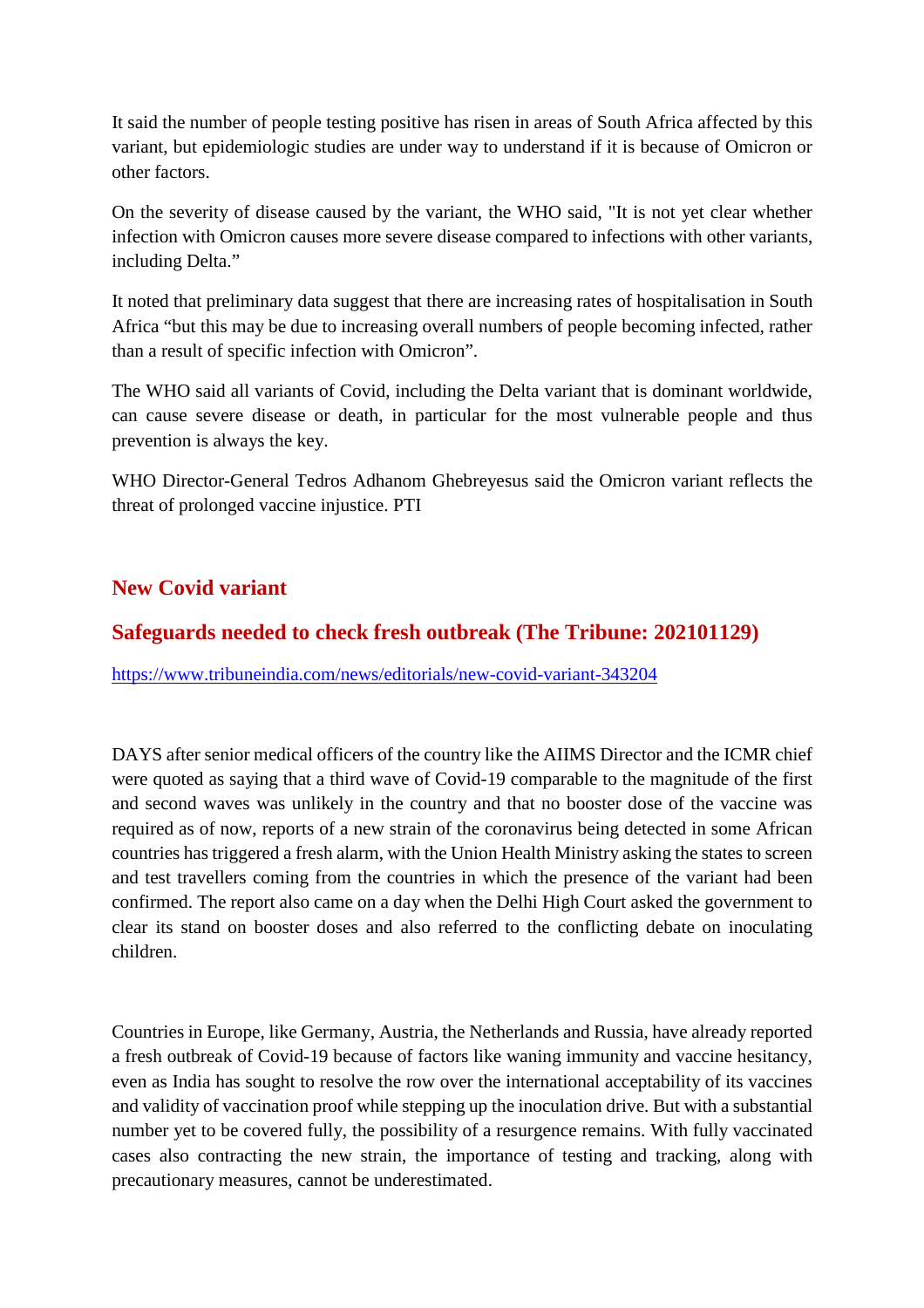It said the number of people testing positive has risen in areas of South Africa affected by this variant, but epidemiologic studies are under way to understand if it is because of Omicron or other factors.

On the severity of disease caused by the variant, the WHO said, "It is not yet clear whether infection with Omicron causes more severe disease compared to infections with other variants, including Delta."

It noted that preliminary data suggest that there are increasing rates of hospitalisation in South Africa "but this may be due to increasing overall numbers of people becoming infected, rather than a result of specific infection with Omicron".

The WHO said all variants of Covid, including the Delta variant that is dominant worldwide, can cause severe disease or death, in particular for the most vulnerable people and thus prevention is always the key.

WHO Director-General Tedros Adhanom Ghebreyesus said the Omicron variant reflects the threat of prolonged vaccine injustice. PTI

# **New Covid variant**

# **Safeguards needed to check fresh outbreak (The Tribune: 202101129)**

https://www.tribuneindia.com/news/editorials/new-covid-variant-343204

DAYS after senior medical officers of the country like the AIIMS Director and the ICMR chief were quoted as saying that a third wave of Covid-19 comparable to the magnitude of the first and second waves was unlikely in the country and that no booster dose of the vaccine was required as of now, reports of a new strain of the coronavirus being detected in some African countries has triggered a fresh alarm, with the Union Health Ministry asking the states to screen and test travellers coming from the countries in which the presence of the variant had been confirmed. The report also came on a day when the Delhi High Court asked the government to clear its stand on booster doses and also referred to the conflicting debate on inoculating children.

Countries in Europe, like Germany, Austria, the Netherlands and Russia, have already reported a fresh outbreak of Covid-19 because of factors like waning immunity and vaccine hesitancy, even as India has sought to resolve the row over the international acceptability of its vaccines and validity of vaccination proof while stepping up the inoculation drive. But with a substantial number yet to be covered fully, the possibility of a resurgence remains. With fully vaccinated cases also contracting the new strain, the importance of testing and tracking, along with precautionary measures, cannot be underestimated.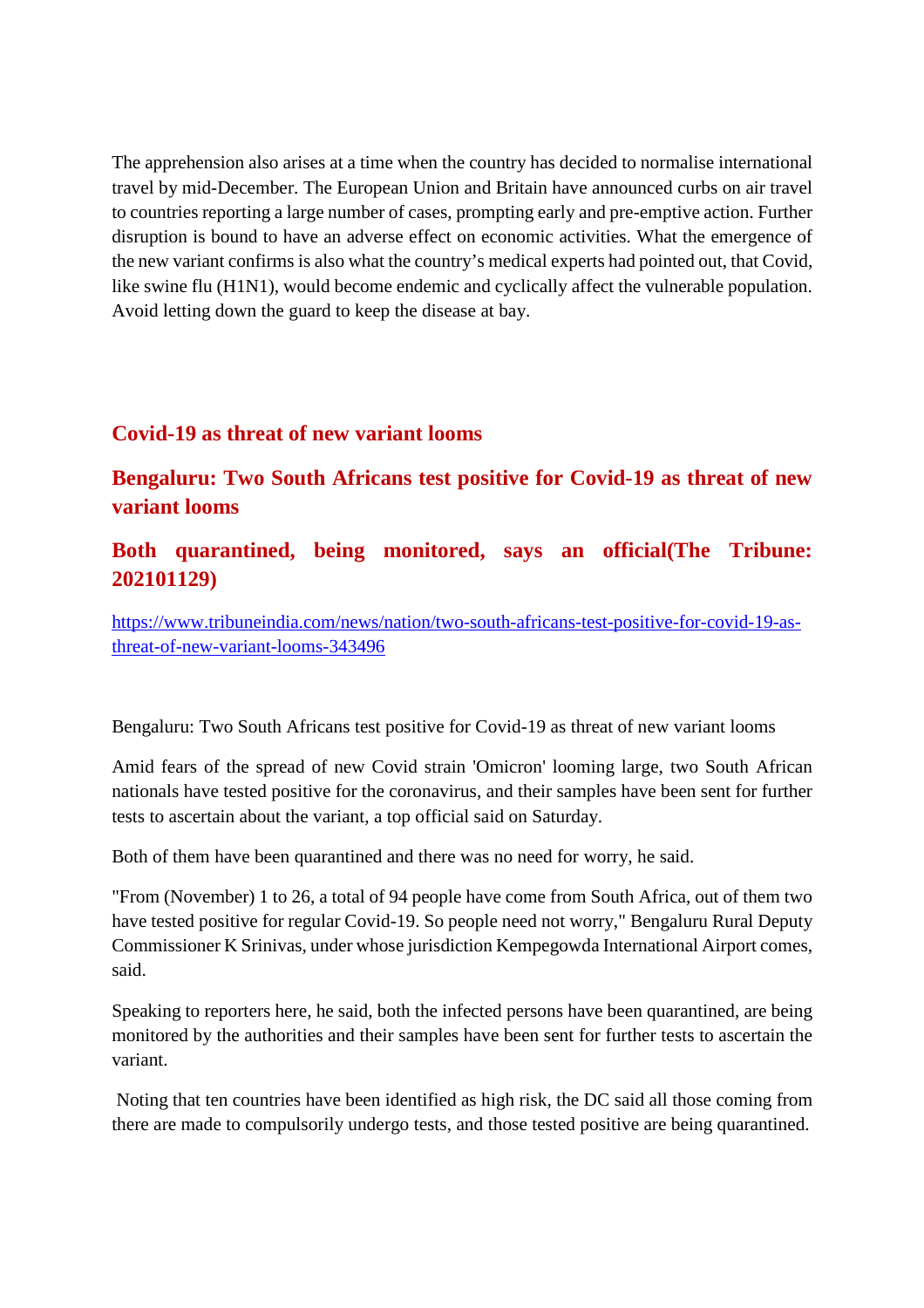The apprehension also arises at a time when the country has decided to normalise international travel by mid-December. The European Union and Britain have announced curbs on air travel to countries reporting a large number of cases, prompting early and pre-emptive action. Further disruption is bound to have an adverse effect on economic activities. What the emergence of the new variant confirms is also what the country's medical experts had pointed out, that Covid, like swine flu (H1N1), would become endemic and cyclically affect the vulnerable population. Avoid letting down the guard to keep the disease at bay.

## **Covid-19 as threat of new variant looms**

# **Bengaluru: Two South Africans test positive for Covid-19 as threat of new variant looms**

# **Both quarantined, being monitored, says an official(The Tribune: 202101129)**

https://www.tribuneindia.com/news/nation/two-south-africans-test-positive-for-covid-19-asthreat-of-new-variant-looms-343496

Bengaluru: Two South Africans test positive for Covid-19 as threat of new variant looms

Amid fears of the spread of new Covid strain 'Omicron' looming large, two South African nationals have tested positive for the coronavirus, and their samples have been sent for further tests to ascertain about the variant, a top official said on Saturday.

Both of them have been quarantined and there was no need for worry, he said.

"From (November) 1 to 26, a total of 94 people have come from South Africa, out of them two have tested positive for regular Covid-19. So people need not worry," Bengaluru Rural Deputy Commissioner K Srinivas, under whose jurisdiction Kempegowda International Airport comes, said.

Speaking to reporters here, he said, both the infected persons have been quarantined, are being monitored by the authorities and their samples have been sent for further tests to ascertain the variant.

Noting that ten countries have been identified as high risk, the DC said all those coming from there are made to compulsorily undergo tests, and those tested positive are being quarantined.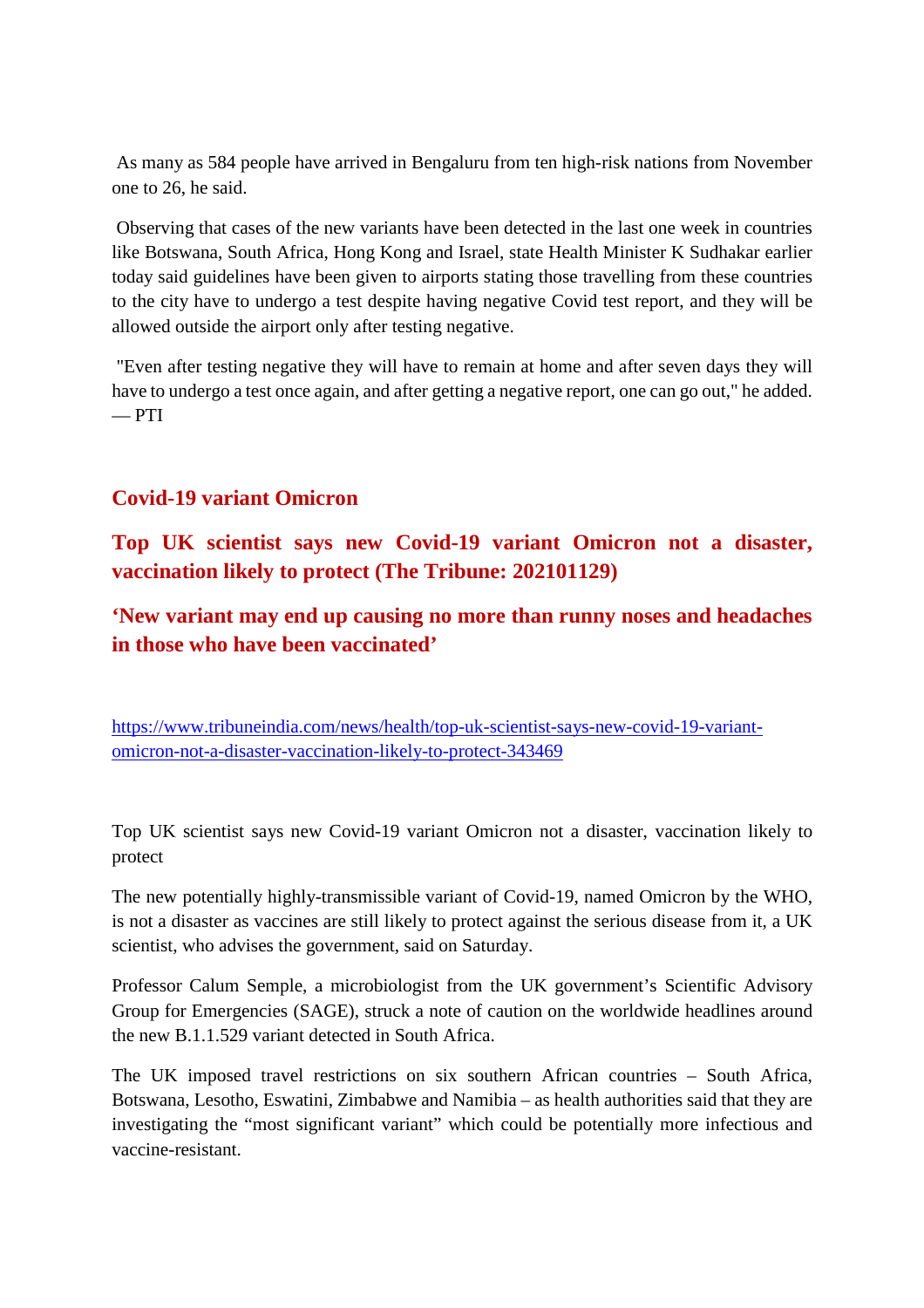As many as 584 people have arrived in Bengaluru from ten high-risk nations from November one to 26, he said.

Observing that cases of the new variants have been detected in the last one week in countries like Botswana, South Africa, Hong Kong and Israel, state Health Minister K Sudhakar earlier today said guidelines have been given to airports stating those travelling from these countries to the city have to undergo a test despite having negative Covid test report, and they will be allowed outside the airport only after testing negative.

"Even after testing negative they will have to remain at home and after seven days they will have to undergo a test once again, and after getting a negative report, one can go out," he added.  $-$  PTI

# **Covid-19 variant Omicron**

**Top UK scientist says new Covid-19 variant Omicron not a disaster, vaccination likely to protect (The Tribune: 202101129)**

**'New variant may end up causing no more than runny noses and headaches in those who have been vaccinated'**

https://www.tribuneindia.com/news/health/top-uk-scientist-says-new-covid-19-variantomicron-not-a-disaster-vaccination-likely-to-protect-343469

Top UK scientist says new Covid-19 variant Omicron not a disaster, vaccination likely to protect

The new potentially highly-transmissible variant of Covid-19, named Omicron by the WHO, is not a disaster as vaccines are still likely to protect against the serious disease from it, a UK scientist, who advises the government, said on Saturday.

Professor Calum Semple, a microbiologist from the UK government's Scientific Advisory Group for Emergencies (SAGE), struck a note of caution on the worldwide headlines around the new B.1.1.529 variant detected in South Africa.

The UK imposed travel restrictions on six southern African countries – South Africa, Botswana, Lesotho, Eswatini, Zimbabwe and Namibia – as health authorities said that they are investigating the "most significant variant" which could be potentially more infectious and vaccine-resistant.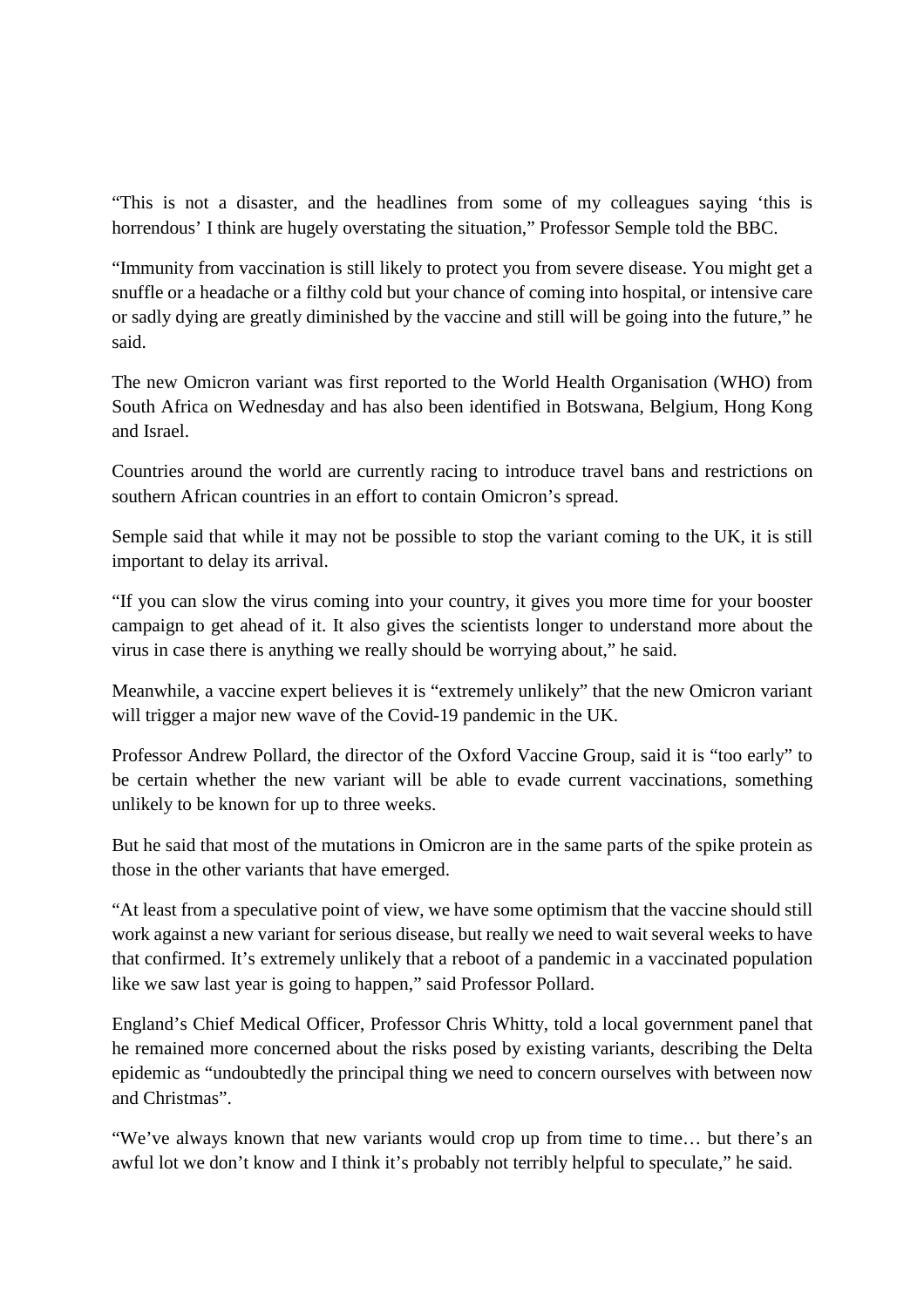"This is not a disaster, and the headlines from some of my colleagues saying 'this is horrendous' I think are hugely overstating the situation," Professor Semple told the BBC.

"Immunity from vaccination is still likely to protect you from severe disease. You might get a snuffle or a headache or a filthy cold but your chance of coming into hospital, or intensive care or sadly dying are greatly diminished by the vaccine and still will be going into the future," he said.

The new Omicron variant was first reported to the World Health Organisation (WHO) from South Africa on Wednesday and has also been identified in Botswana, Belgium, Hong Kong and Israel.

Countries around the world are currently racing to introduce travel bans and restrictions on southern African countries in an effort to contain Omicron's spread.

Semple said that while it may not be possible to stop the variant coming to the UK, it is still important to delay its arrival.

"If you can slow the virus coming into your country, it gives you more time for your booster campaign to get ahead of it. It also gives the scientists longer to understand more about the virus in case there is anything we really should be worrying about," he said.

Meanwhile, a vaccine expert believes it is "extremely unlikely" that the new Omicron variant will trigger a major new wave of the Covid-19 pandemic in the UK.

Professor Andrew Pollard, the director of the Oxford Vaccine Group, said it is "too early" to be certain whether the new variant will be able to evade current vaccinations, something unlikely to be known for up to three weeks.

But he said that most of the mutations in Omicron are in the same parts of the spike protein as those in the other variants that have emerged.

"At least from a speculative point of view, we have some optimism that the vaccine should still work against a new variant for serious disease, but really we need to wait several weeks to have that confirmed. It's extremely unlikely that a reboot of a pandemic in a vaccinated population like we saw last year is going to happen," said Professor Pollard.

England's Chief Medical Officer, Professor Chris Whitty, told a local government panel that he remained more concerned about the risks posed by existing variants, describing the Delta epidemic as "undoubtedly the principal thing we need to concern ourselves with between now and Christmas".

"We've always known that new variants would crop up from time to time… but there's an awful lot we don't know and I think it's probably not terribly helpful to speculate," he said.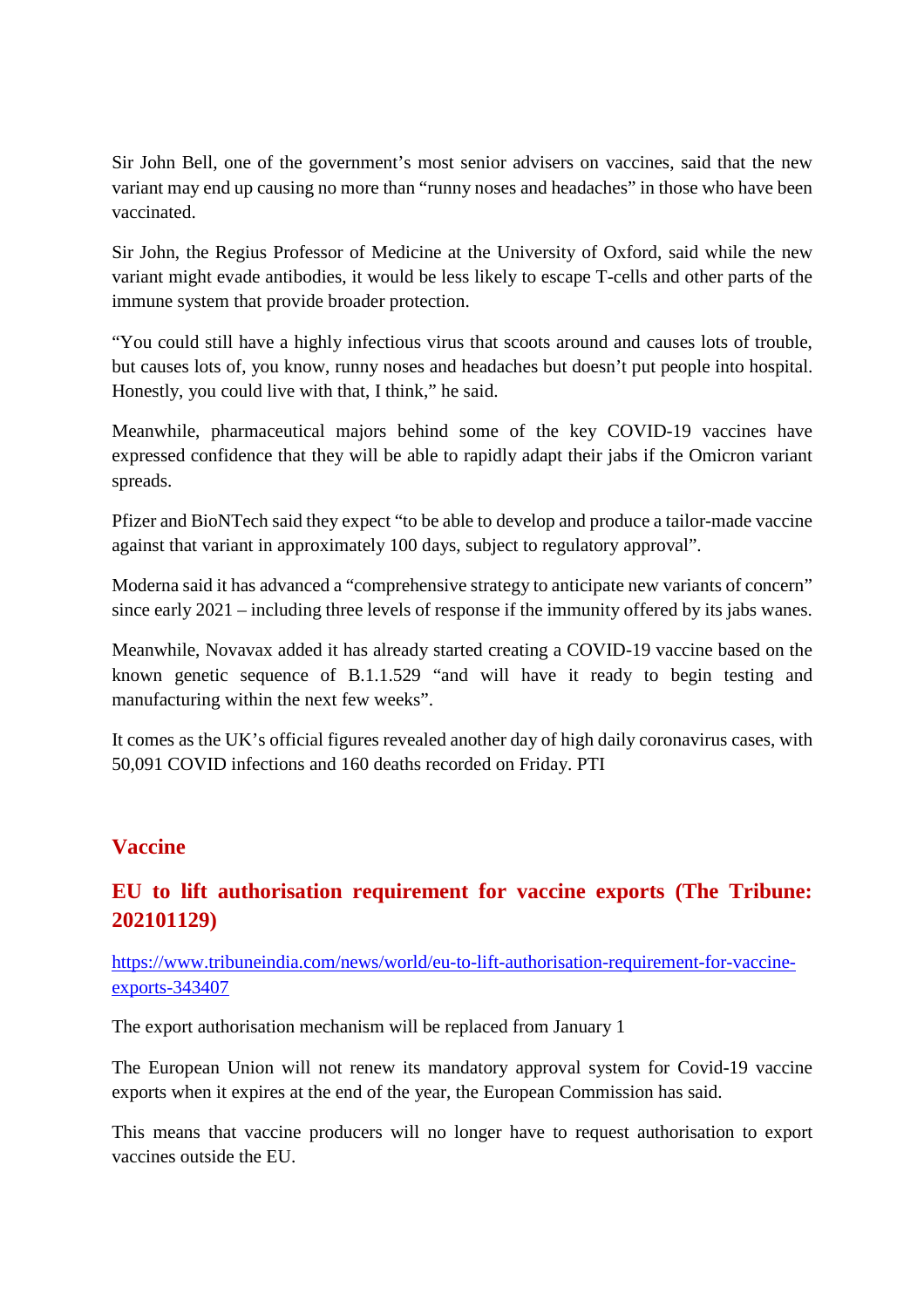Sir John Bell, one of the government's most senior advisers on vaccines, said that the new variant may end up causing no more than "runny noses and headaches" in those who have been vaccinated.

Sir John, the Regius Professor of Medicine at the University of Oxford, said while the new variant might evade antibodies, it would be less likely to escape T-cells and other parts of the immune system that provide broader protection.

"You could still have a highly infectious virus that scoots around and causes lots of trouble, but causes lots of, you know, runny noses and headaches but doesn't put people into hospital. Honestly, you could live with that, I think," he said.

Meanwhile, pharmaceutical majors behind some of the key COVID-19 vaccines have expressed confidence that they will be able to rapidly adapt their jabs if the Omicron variant spreads.

Pfizer and BioNTech said they expect "to be able to develop and produce a tailor-made vaccine against that variant in approximately 100 days, subject to regulatory approval".

Moderna said it has advanced a "comprehensive strategy to anticipate new variants of concern" since early 2021 – including three levels of response if the immunity offered by its jabs wanes.

Meanwhile, Novavax added it has already started creating a COVID-19 vaccine based on the known genetic sequence of B.1.1.529 "and will have it ready to begin testing and manufacturing within the next few weeks".

It comes as the UK's official figures revealed another day of high daily coronavirus cases, with 50,091 COVID infections and 160 deaths recorded on Friday. PTI

# **Vaccine**

# **EU to lift authorisation requirement for vaccine exports (The Tribune: 202101129)**

https://www.tribuneindia.com/news/world/eu-to-lift-authorisation-requirement-for-vaccineexports-343407

The export authorisation mechanism will be replaced from January 1

The European Union will not renew its mandatory approval system for Covid-19 vaccine exports when it expires at the end of the year, the European Commission has said.

This means that vaccine producers will no longer have to request authorisation to export vaccines outside the EU.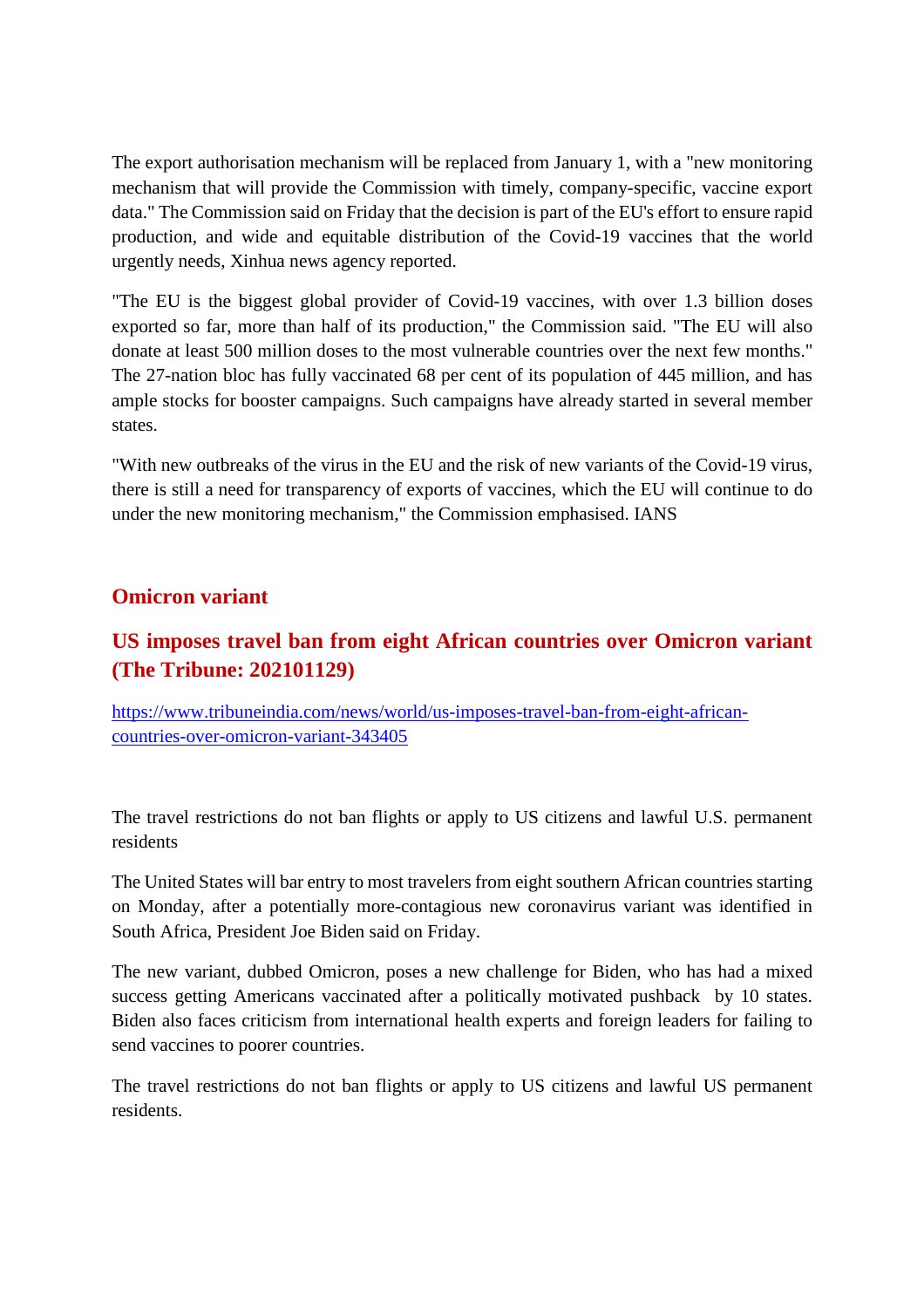The export authorisation mechanism will be replaced from January 1, with a "new monitoring mechanism that will provide the Commission with timely, company-specific, vaccine export data." The Commission said on Friday that the decision is part of the EU's effort to ensure rapid production, and wide and equitable distribution of the Covid-19 vaccines that the world urgently needs, Xinhua news agency reported.

"The EU is the biggest global provider of Covid-19 vaccines, with over 1.3 billion doses exported so far, more than half of its production," the Commission said. "The EU will also donate at least 500 million doses to the most vulnerable countries over the next few months." The 27-nation bloc has fully vaccinated 68 per cent of its population of 445 million, and has ample stocks for booster campaigns. Such campaigns have already started in several member states.

"With new outbreaks of the virus in the EU and the risk of new variants of the Covid-19 virus, there is still a need for transparency of exports of vaccines, which the EU will continue to do under the new monitoring mechanism," the Commission emphasised. IANS

## **Omicron variant**

# **US imposes travel ban from eight African countries over Omicron variant (The Tribune: 202101129)**

https://www.tribuneindia.com/news/world/us-imposes-travel-ban-from-eight-africancountries-over-omicron-variant-343405

The travel restrictions do not ban flights or apply to US citizens and lawful U.S. permanent residents

The United States will bar entry to most travelers from eight southern African countries starting on Monday, after a potentially more-contagious new coronavirus variant was identified in South Africa, President Joe Biden said on Friday.

The new variant, dubbed Omicron, poses a new challenge for Biden, who has had a mixed success getting Americans vaccinated after a politically motivated pushback by 10 states. Biden also faces criticism from international health experts and foreign leaders for failing to send vaccines to poorer countries.

The travel restrictions do not ban flights or apply to US citizens and lawful US permanent residents.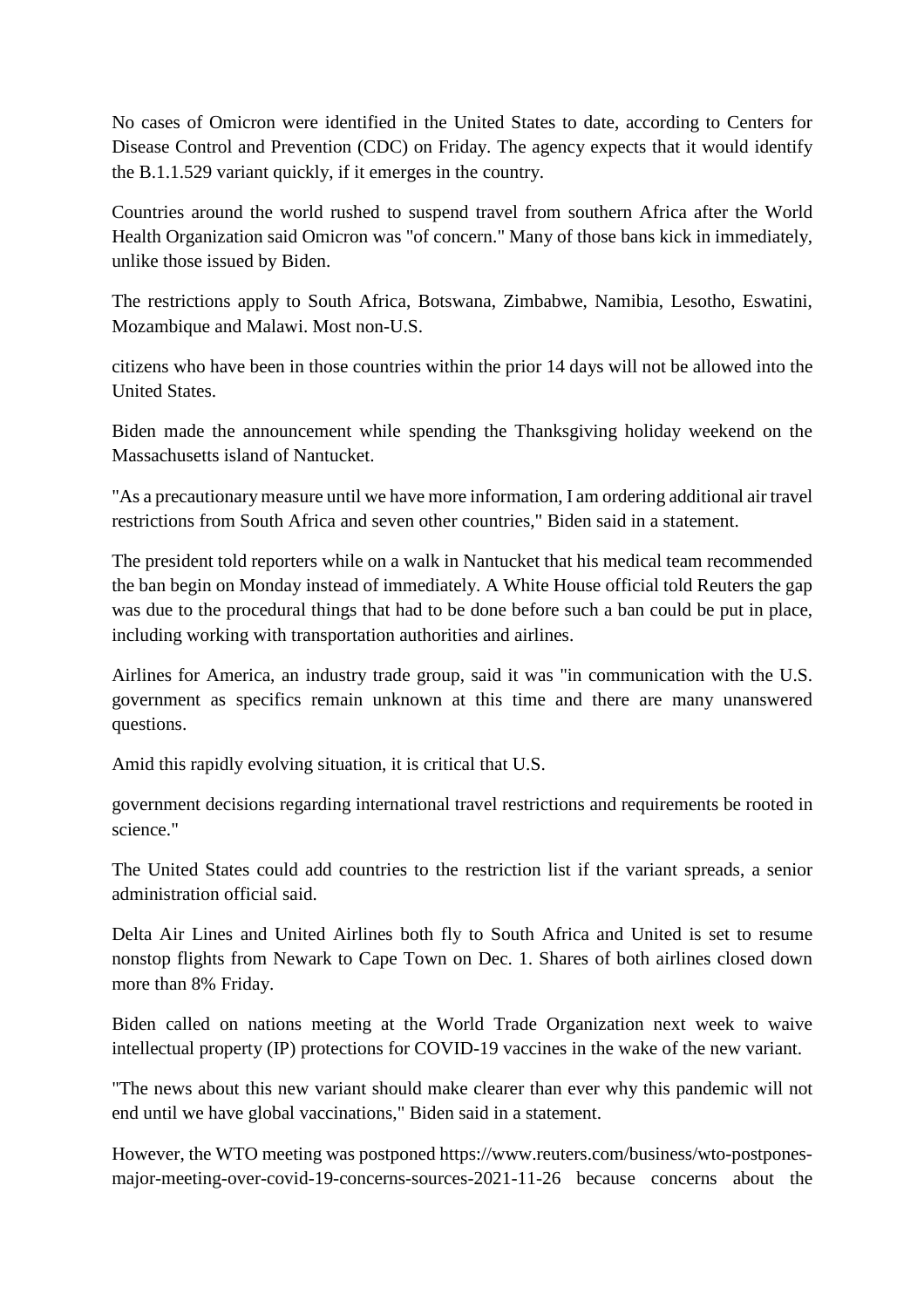No cases of Omicron were identified in the United States to date, according to Centers for Disease Control and Prevention (CDC) on Friday. The agency expects that it would identify the B.1.1.529 variant quickly, if it emerges in the country.

Countries around the world rushed to suspend travel from southern Africa after the World Health Organization said Omicron was "of concern." Many of those bans kick in immediately, unlike those issued by Biden.

The restrictions apply to South Africa, Botswana, Zimbabwe, Namibia, Lesotho, Eswatini, Mozambique and Malawi. Most non-U.S.

citizens who have been in those countries within the prior 14 days will not be allowed into the United States.

Biden made the announcement while spending the Thanksgiving holiday weekend on the Massachusetts island of Nantucket.

"As a precautionary measure until we have more information, I am ordering additional air travel restrictions from South Africa and seven other countries," Biden said in a statement.

The president told reporters while on a walk in Nantucket that his medical team recommended the ban begin on Monday instead of immediately. A White House official told Reuters the gap was due to the procedural things that had to be done before such a ban could be put in place, including working with transportation authorities and airlines.

Airlines for America, an industry trade group, said it was "in communication with the U.S. government as specifics remain unknown at this time and there are many unanswered questions.

Amid this rapidly evolving situation, it is critical that U.S.

government decisions regarding international travel restrictions and requirements be rooted in science."

The United States could add countries to the restriction list if the variant spreads, a senior administration official said.

Delta Air Lines and United Airlines both fly to South Africa and United is set to resume nonstop flights from Newark to Cape Town on Dec. 1. Shares of both airlines closed down more than 8% Friday.

Biden called on nations meeting at the World Trade Organization next week to waive intellectual property (IP) protections for COVID-19 vaccines in the wake of the new variant.

"The news about this new variant should make clearer than ever why this pandemic will not end until we have global vaccinations," Biden said in a statement.

However, the WTO meeting was postponed https://www.reuters.com/business/wto-postponesmajor-meeting-over-covid-19-concerns-sources-2021-11-26 because concerns about the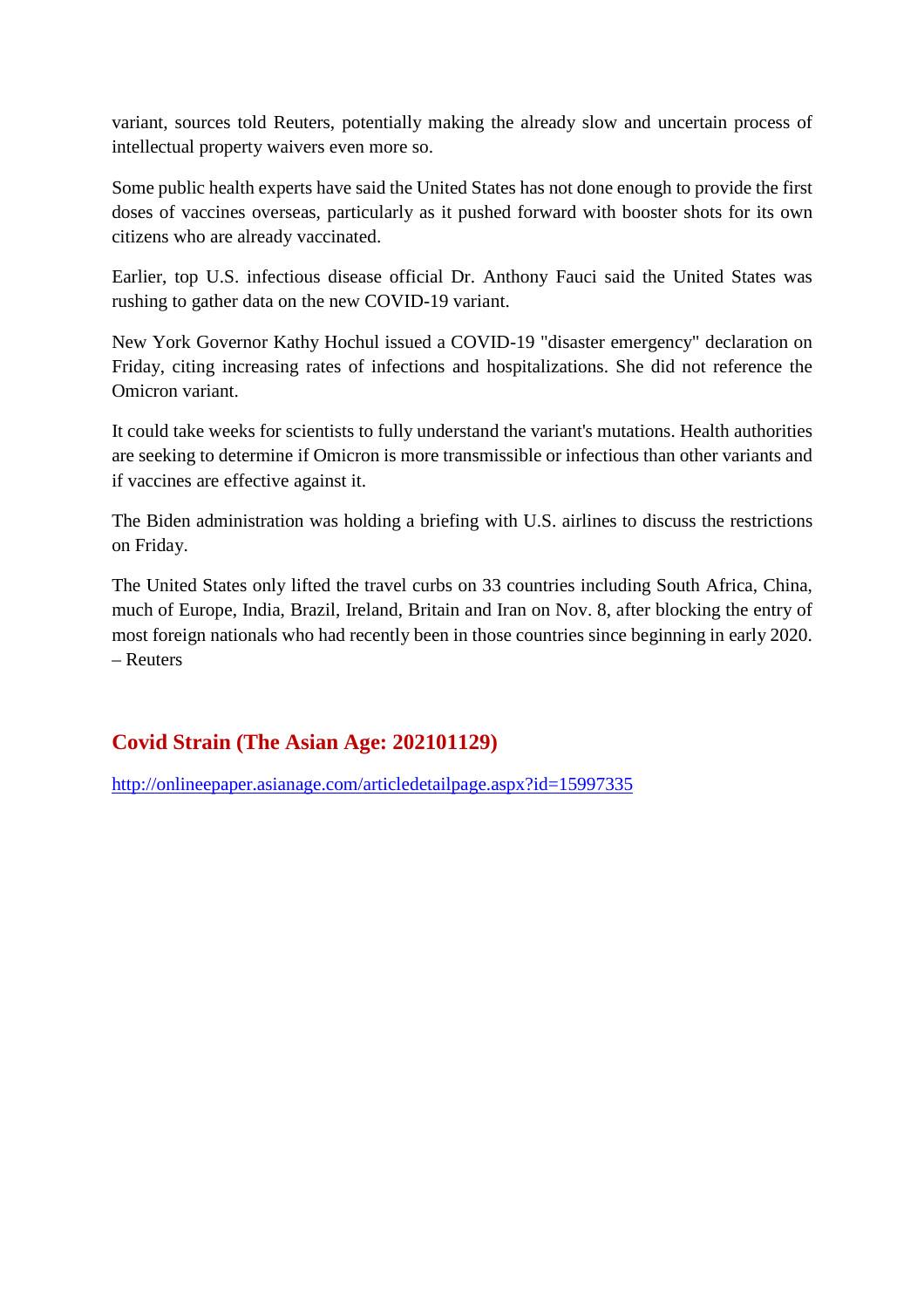variant, sources told Reuters, potentially making the already slow and uncertain process of intellectual property waivers even more so.

Some public health experts have said the United States has not done enough to provide the first doses of vaccines overseas, particularly as it pushed forward with booster shots for its own citizens who are already vaccinated.

Earlier, top U.S. infectious disease official Dr. Anthony Fauci said the United States was rushing to gather data on the new COVID-19 variant.

New York Governor Kathy Hochul issued a COVID-19 "disaster emergency" declaration on Friday, citing increasing rates of infections and hospitalizations. She did not reference the Omicron variant.

It could take weeks for scientists to fully understand the variant's mutations. Health authorities are seeking to determine if Omicron is more transmissible or infectious than other variants and if vaccines are effective against it.

The Biden administration was holding a briefing with U.S. airlines to discuss the restrictions on Friday.

The United States only lifted the travel curbs on 33 countries including South Africa, China, much of Europe, India, Brazil, Ireland, Britain and Iran on Nov. 8, after blocking the entry of most foreign nationals who had recently been in those countries since beginning in early 2020. – Reuters

# **Covid Strain (The Asian Age: 202101129)**

http://onlineepaper.asianage.com/articledetailpage.aspx?id=15997335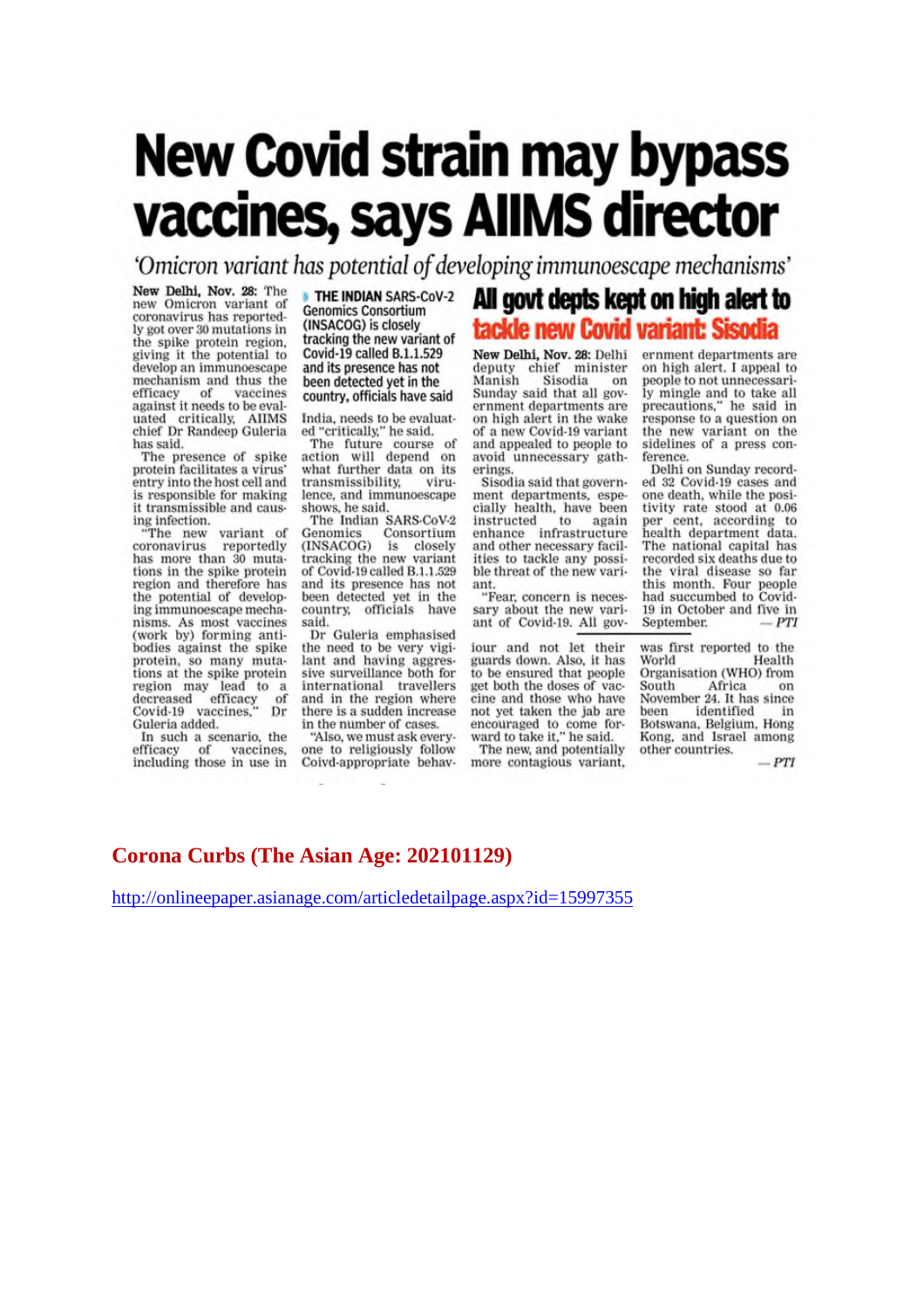# **New Covid strain may bypass** vaccines, says AllMS director

'Omicron variant has potential of developing immunoescape mechanisms'

New Delhi, Nov. 28: The new Omicron variant of coronavirus has reportedly got over 30 mutations in the spike protein region,<br>giving it the potential to develop an immunoescape mechanism and thus the mechanism and mus me<br>efficacy of vaccines<br>against it needs to be eval-<br>uated critically, AIIMS<br>chief Dr Randeep Guleria has said.

The presence of spike protein facilitates a virus' entry into the host cell and is responsible for making it transmissible and causing infection.

variant of "The new<br>coronavirus reportedly has more than 30 mutations in the spike protein region and therefore has the potential of developing immunoescape mechanisms. As most vaccines<br>(work by) forming antibodies against the spike protein, so many muta-<br>tions at the spike protein region may lead to a<br>decreased efficacy of<br>Covid-19 vaccines," Dr Guleria added.

In such a scenario, the<br>efficacy of vaccines, including those in use in THE INDIAN SARS-CoV-2 **Genomics Consortium** (INSACOG) is closely tracking the new variant of Covid-19 called B.1.1.529 and its presence has not been detected yet in the country, officials have said

India, needs to be evaluated "critically," he said.

The future course of action will depend on<br>what further data on its transmissibility, virulence, and immunoescape

shows, he said.<br>The Indian SARS-CoV-2 Genomics Consortium<br>(INSACOG) is closely tracking the new variant<br>of Covid-19 called B.1.1.529 and its presence has not been detected yet in the country, officials have said.

Dr Guleria emphasised the need to be very vigi-<br>lant and having aggressive surveillance both for international travellers and in the region where there is a sudden increase in the number of cases.

"Also, we must ask everyone to religiously follow Coivd-appropriate behav-

# All govt depts kept on high alert to tackle new Covid variant: Sisodia

New Delhi, Nov. 28: Delhi deputy chief minister<br>Manish Sisodia on Sunday said that all government departments are on high alert in the wake of a new Covid-19 variant and appealed to people to avoid unnecessary gatherings.

Sisodia said that government departments, espe-<br>cially health, have been instructed to again<br>enhance infrastructure<br>and other necessary facilities to tackle any possible threat of the new variant.

"Fear, concern is necessary about the new variant of Covid-19. All gov-

iour and not let their<br>guards down. Also, it has to be ensured that people get both the doses of vaccine and those who have not yet taken the jab are encouraged to come for-<br>ward to take it," he said.

The new, and potentially more contagious variant, ernment departments are on high alert. I appeal to people to not unnecessarily mingle and to take all precautions," he said in response to a question on the new variant on the sidelines of a press conference.

Delhi on Sunday recorded 32 Covid-19 cases and one death, while the positivity rate stood at 0.06 per cent, according to health department data.<br>The national capital has recorded six deaths due to the viral disease so far this month. Four people had succumbed to Covid-19 in October and five in September.  $-PTI$ 

was first reported to the Health World Organisation (WHO) from South Africa on<br>November 24. It has since<br>been identified in Botswana, Belgium, Hong Kong, and Israel among other countries.

 $-PTI$ 

#### **Corona Curbs (The Asian Age: 202101129)**

http://onlineepaper.asianage.com/articledetailpage.aspx?id=15997355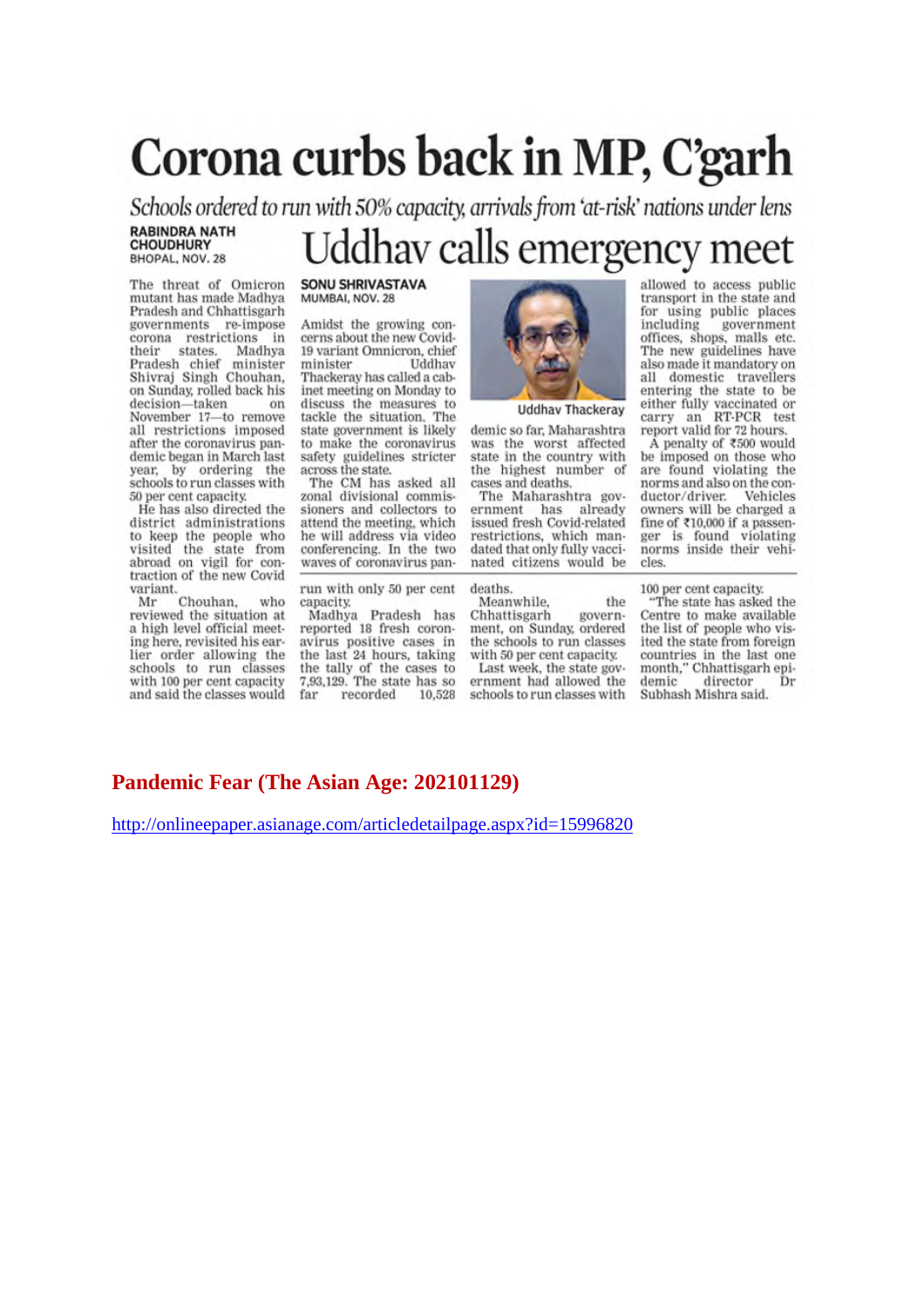# Corona curbs back in MP, C'garh

Schools ordered to run with 50% capacity, arrivals from 'at-risk' nations under lens **RABINDRA NATH** 

# Uddhav calls emergency meet

The threat of Omicron mutant has made Madhya Pradesh and Chhattisgarh governments re-impose corona restrictions in their states. Madhya<br>Pradesh chief minister<br>Shivraj Singh Chouhan, Madhya on Sunday, rolled back his decision-taken on November 17-to remove all restrictions imposed after the coronavirus pandemic began in March last year, by ordering the<br>schools to run classes with 50 per cent capacity.

**CHOUDHURY** BHOPAL, NOV. 28

He has also directed the district administrations to keep the people who visited the state from abroad on vigil for contraction of the new Covid variant.

Chouhan. who Mr reviewed the situation at a high level official meeting here, revisited his earlier order allowing the schools to run classes with 100 per cent capacity and said the classes would

#### **SONU SHRIVASTAVA** MUMBAI, NOV. 28

Amidst the growing concerns about the new Covid-19 variant Omnicron, chief minister Uddhay Thackeray has called a cabinet meeting on Monday to discuss the measures to tackle the situation. The state government is likely to make the coronavirus safety guidelines stricter across the state.

The CM has asked all zonal divisional commissioners and collectors to attend the meeting, which he will address via video conferencing. In the two waves of coronavirus pan-

run with only 50 per cent capacity.

Madhya Pradesh has reported 18 fresh coronavirus positive cases in the last 24 hours, taking the tally of the cases to 7,93,129. The state has so far recorded 10.528



**Uddhav Thackeray** 

demic so far, Maharashtra was the worst affected state in the country with the highest number of cases and deaths.

The Maharashtra government has already issued fresh Covid-related restrictions, which mandated that only fully vaccinated citizens would be

deaths.

Meanwhile. the Chhattisgarh government, on Sunday, ordered the schools to run classes with 50 per cent capacity.

Last week, the state government had allowed the schools to run classes with

allowed to access public transport in the state and for using public places including government<br>offices, shops, malls etc.<br>The new guidelines have also made it mandatory on all domestic travellers entering the state to be either fully vaccinated or<br>carry an RT-PCR test<br>report valid for 72 hours.

Å penalty of ₹500 would be imposed on those who are found violating the norms and also on the conductor/driver. Vehicles owners will be charged a fine of  $\texttt{710,000}$  if a passenger is found violating norms inside their vehicles.

100 per cent capacity.

"The state has asked the Centre to make available the list of people who visited the state from foreign countries in the last one month," Chhattisgarh epidemic director Dr Subhash Mishra said.

#### **Pandemic Fear (The Asian Age: 202101129)**

http://onlineepaper.asianage.com/articledetailpage.aspx?id=15996820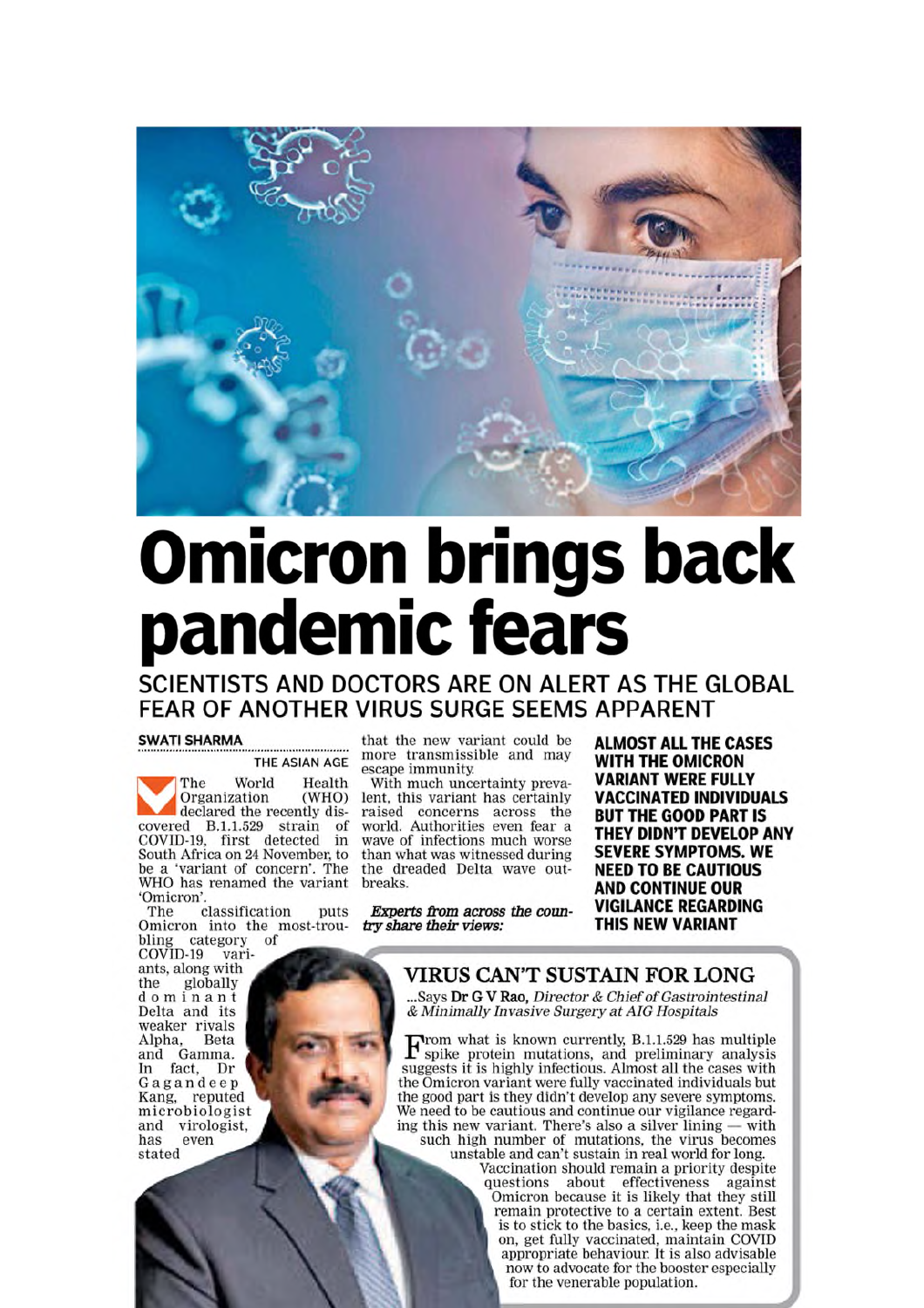

# **Omicron brings back<br>pandemic fears**

# SCIENTISTS AND DOCTORS ARE ON ALERT AS THE GLOBAL FEAR OF ANOTHER VIRUS SURGE SEEMS APPARENT

#### **SWATI SHARMA**

THE ASIAN AGE

World Health  $ThP$ Organization (WHO) declared the recently discovered B.1.1.529 strain of COVID-19, first detected in South Africa on 24 November, to be a 'variant of concern'. The WHO has renamed the variant 'Omicron'

classification puts The Omicron into the most-trou-<br>bling category of

bling category<br>COVID-19 varivariants, along with<br>the globally dominant Delta and its weaker rivals Alpha, Beta<br>and Gamma.<br>In fact, Dr Beta Gagandeep Kang, reputed<br>microbiologist and virologist. has. even stated

that the new variant could be more transmissible and may escape immunity.

With much uncertainty prevalent, this variant has certainly raised concerns across the<br>world. Authorities even fear a wave of infections much worse than what was witnessed during the dreaded Delta wave outbreaks.

Experts from across the country share their views:

**ALMOST ALL THE CASES WITH THE OMICRON VARIANT WERE FULLY VACCINATED INDIVIDUALS BUT THE GOOD PART IS** THEY DIDN'T DEVELOP ANY **SEVERE SYMPTOMS, WE NEED TO BE CAUTIOUS AND CONTINUE OUR VIGILANCE REGARDING** THIS NEW VARIANT

VIRUS CAN'T SUSTAIN FOR LONG

Says Dr G V Rao, Director & Chief of Gastrointestinal & Minimally Invasive Surgery at AIG Hospitals

 $\mathbf{F}$ rom what is known currently, B.1.1.529 has multiple spike protein mutations, and preliminary analysis suggests it is highly infectious. Almost all the cases with the Omicron variant were fully vaccinated individuals but the good part is they didn't develop any severe symptoms. We need to be cautious and continue our vigilance regarding this new variant. There's also a silver lining  $-$  with such high number of mutations, the virus becomes<br>unstable and can't sustain in real world for long.

Vaccination should remain a priority despite questions about effectiveness against<br>Omicron because it is likely that they still remain protective to a certain extent. Best is to stick to the basics, i.e., keep the mask on, get fully vaccinated, maintain COVID appropriate behaviour. It is also advisable now to advocate for the booster especially for the venerable population.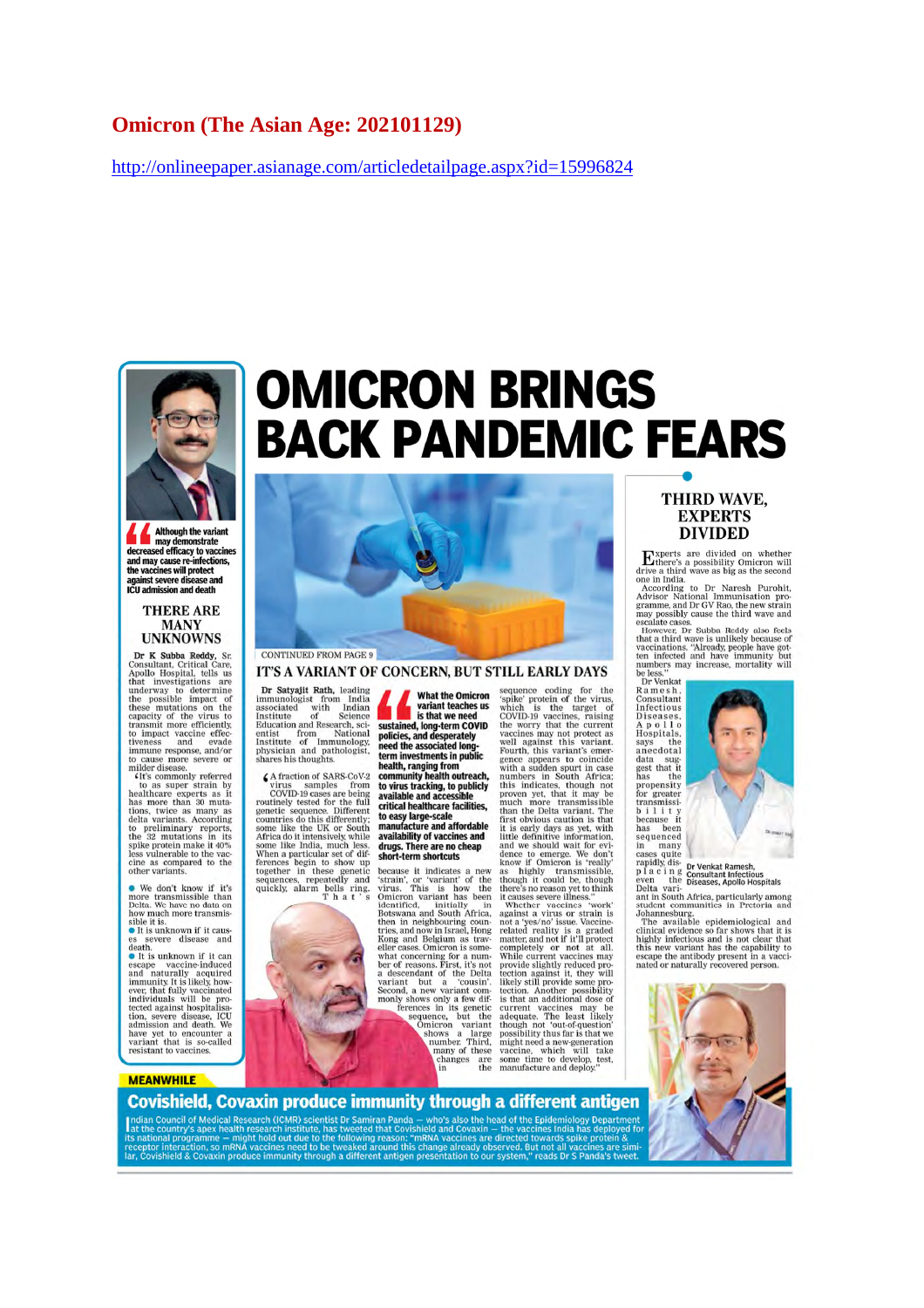#### **Omicron (The Asian Age: 202101129)**

http://onlineepaper.asianage.com/articledetailpage.aspx?id=15996824



Although the variant **Example 3** may demonstrate<br>decreased efficacy to vaccines and may cause re-infections,<br>the vaccines will protect<br>tagainst severe disease and<br>ICU admission and death

#### **THERE ARE** MANY<br>UNKNOWNS

UNKNOWNS<br>
Dr K Subba Reddy, Sr.<br>
Consultant, Critical Care,<br>
Apollo Hospital, tells us<br>
that investigations are<br>
that investigations are underway to determine<br>
the possible impact of<br>
the possible impact vacuum through th

. We don't know if it's we don't know if it's<br>more transmissible than<br>Delta. We have no data on<br>how much more transmissible it is.<br>• It is unknown if it caus-

es severe disease and<br>death.<br>• It is unknown if it can

 $\bullet$  It is unknown if it can<br>escape vaccine-induced and naturally acquired immunity It is likely, however, that fully vaccinated individuals will be probable<br>tected against hospitalisation is dependent in the second respo

#### **MEANWHILE**

# **OMICRON BRINGS BACK PANDEMIC FEARS**



IT'S A VARIANT OF CONCERN, BUT STILL EARLY DAYS

Dr Satyajit Rath, leading Dr Satyaju Kath, leading<br>immunologist from India<br>associated with India<br>Institute of Science<br>Education and Research, science<br>entist from National<br>Institute of Immunology<br>physician and pathologist,<br>shares his thoughts.

shares his thoughts.<br>  $\blacktriangle$  fraction of SARS-CoV-2<br>  $\vartriangle$  fraction of SARS-CoV-2<br>  $\vartriangle$  rurs samples from<br>
COVID-19 cases are being<br>
routinely tested for the full<br>
genetic sequence. Different<br>
some like the UK or South<br>
s



Indian Council of Medical Research (ICMR) scientist Dr Samiran Panda - who's also the head of the Epidemiolo

ar, Covishield & Covaxin produce immunity through a different antigen presentation to our syst

**What the Omicron** vitat the Official<br>variant teaches us<br>is that we need is that we need<br>sustained, long-term COVID<br>policies, and desperately<br>need the associated long-<br>term investments in public

term investments in<br>health, ranging from<br>community health outreach,<br>to virus tracking, to publicly<br>available and accessible<br>critical healthcare facilities,<br>to easy large-scale<br>manufacture and affordable manufacture and affordable availability of vaccines and<br>drugs. There are no cheap<br>short-term shortcuts

because it indicates a new 'strain', or 'variant' of the virus. This is how the Omicron variant has been identified, initially in Botswana and South Africa, ben in neighbouring coun-<br>tries, and now in Israel, Hong<br>Kong and Belgium as trav-<br>eller cases. Omicron is someeller cases. Omicron is somewhat concerning for a num<br>ber of reasons. First, it's not<br>ber of reasons. First, it's not<br>a descendant of the Delta<br>variant but a 'cousin'. Second, a new variant community shows only a few diffe

sequence coding for the sequence coding for the target of the single problem for the vinds<br>which is the target of the virus, which is the target of the virus,<br>which is the correct to covid a receiver that the correct as<br>well against this variant

#### THIRD WAVE. **EXPERTS DIVIDED**

**EXECUTE TO THE SET AND THE TERM**<br>
There a thrive a divided on whether<br>
one in India.<br>
Advisor National Immunisation pro-<br>
According to Dr Naresh Purchit,<br>
Advisor National Immunisation pro-<br>
gramme, and Dr GV Rao, the new be less."<br>Dr Venkat



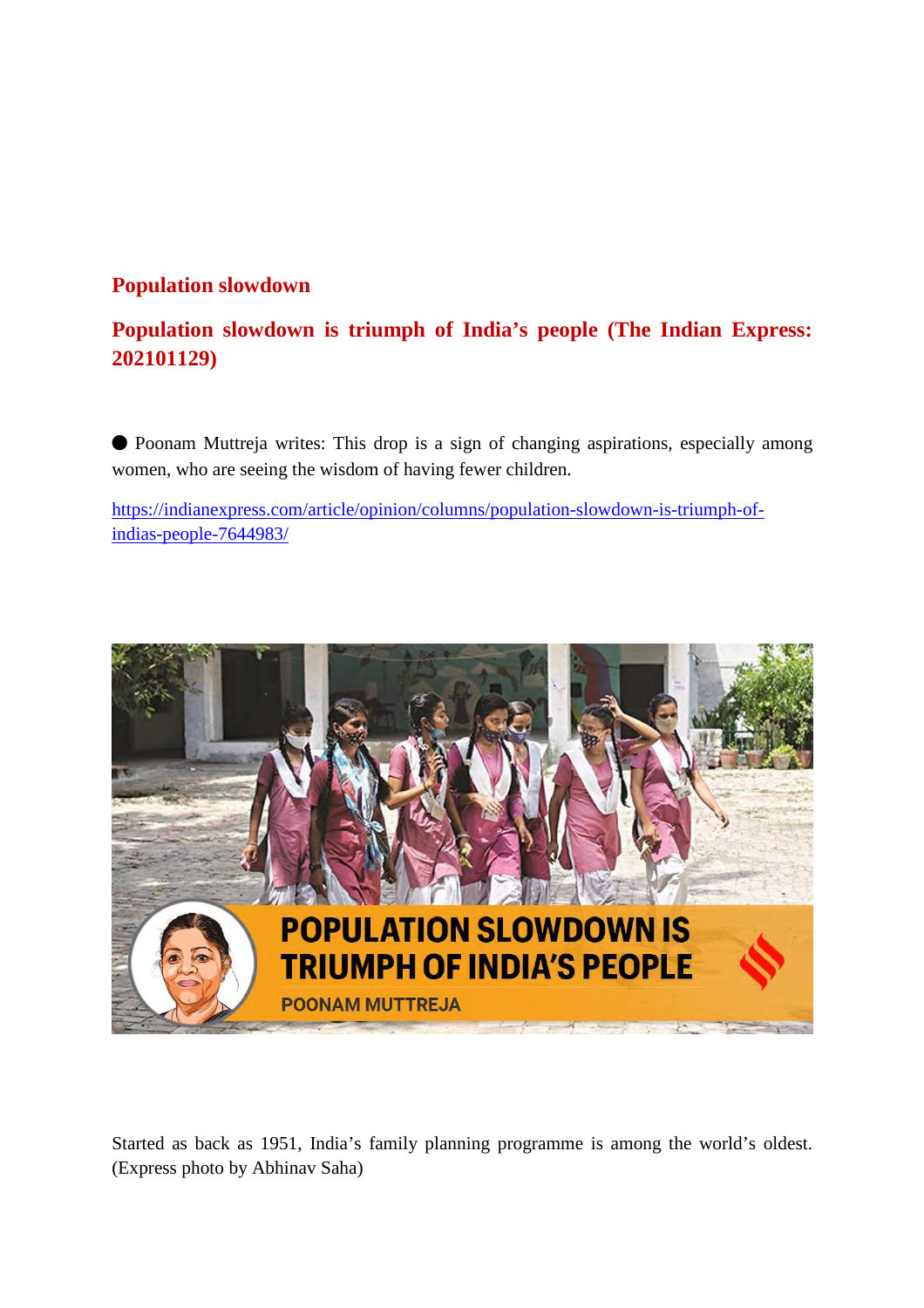# **Population slowdown**

# **Population slowdown is triumph of India's people (The Indian Express: 202101129)**

⬤ Poonam Muttreja writes: This drop is a sign of changing aspirations, especially among women, who are seeing the wisdom of having fewer children.

https://indianexpress.com/article/opinion/columns/population-slowdown-is-triumph-ofindias-people-7644983/



Started as back as 1951, India's family planning programme is among the world's oldest. (Express photo by Abhinav Saha)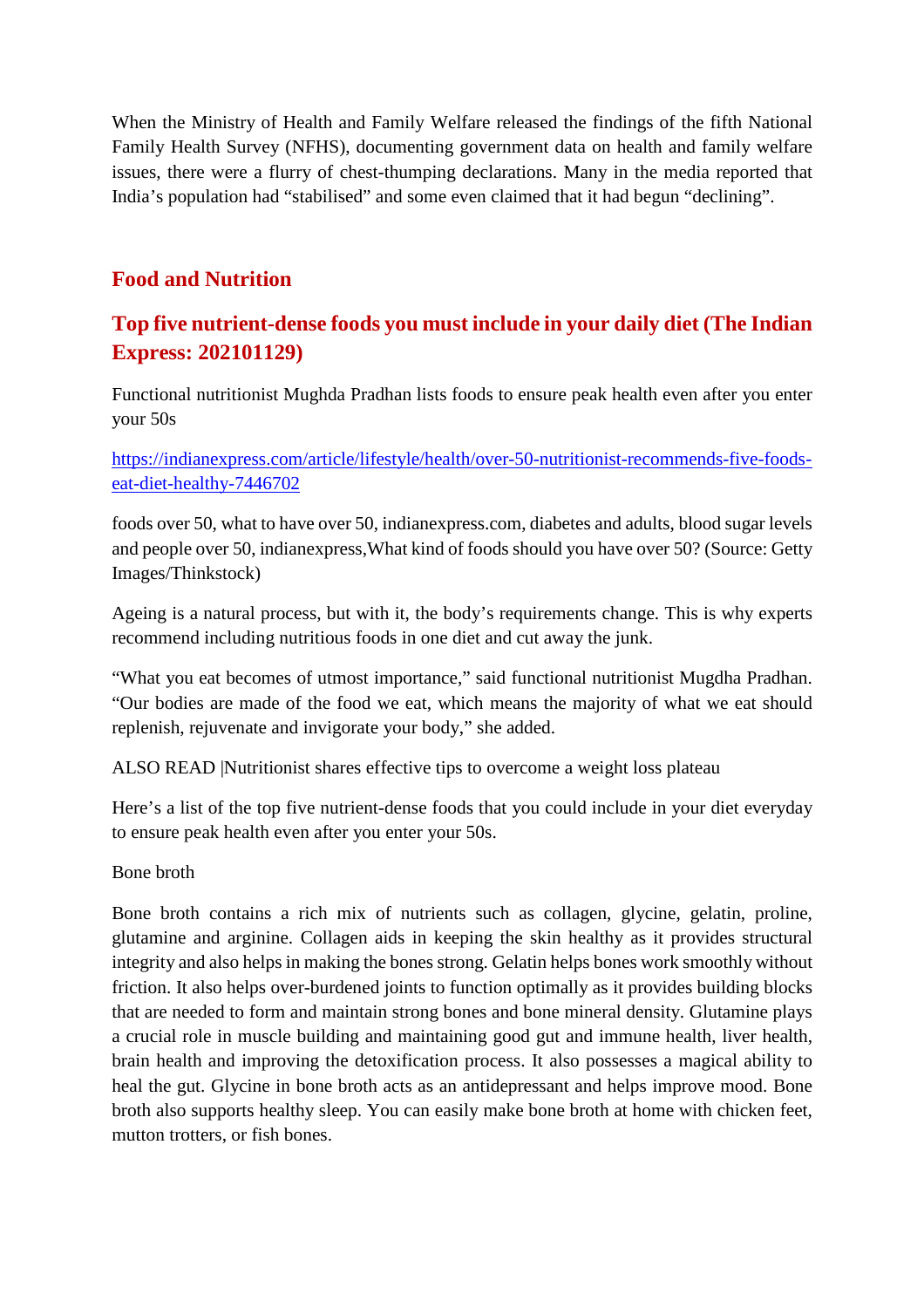When the Ministry of Health and Family Welfare released the findings of the fifth National Family Health Survey (NFHS), documenting government data on health and family welfare issues, there were a flurry of chest-thumping declarations. Many in the media reported that India's population had "stabilised" and some even claimed that it had begun "declining".

# **Food and Nutrition**

# **Top five nutrient-dense foods you must include in your daily diet (The Indian Express: 202101129)**

Functional nutritionist Mughda Pradhan lists foods to ensure peak health even after you enter your 50s

https://indianexpress.com/article/lifestyle/health/over-50-nutritionist-recommends-five-foodseat-diet-healthy-7446702

foods over 50, what to have over 50, indianexpress.com, diabetes and adults, blood sugar levels and people over 50, indianexpress,What kind of foods should you have over 50? (Source: Getty Images/Thinkstock)

Ageing is a natural process, but with it, the body's requirements change. This is why experts recommend including nutritious foods in one diet and cut away the junk.

"What you eat becomes of utmost importance," said functional nutritionist Mugdha Pradhan. "Our bodies are made of the food we eat, which means the majority of what we eat should replenish, rejuvenate and invigorate your body," she added.

ALSO READ |Nutritionist shares effective tips to overcome a weight loss plateau

Here's a list of the top five nutrient-dense foods that you could include in your diet everyday to ensure peak health even after you enter your 50s.

Bone broth

Bone broth contains a rich mix of nutrients such as collagen, glycine, gelatin, proline, glutamine and arginine. Collagen aids in keeping the skin healthy as it provides structural integrity and also helps in making the bones strong. Gelatin helps bones work smoothly without friction. It also helps over-burdened joints to function optimally as it provides building blocks that are needed to form and maintain strong bones and bone mineral density. Glutamine plays a crucial role in muscle building and maintaining good gut and immune health, liver health, brain health and improving the detoxification process. It also possesses a magical ability to heal the gut. Glycine in bone broth acts as an antidepressant and helps improve mood. Bone broth also supports healthy sleep. You can easily make bone broth at home with chicken feet, mutton trotters, or fish bones.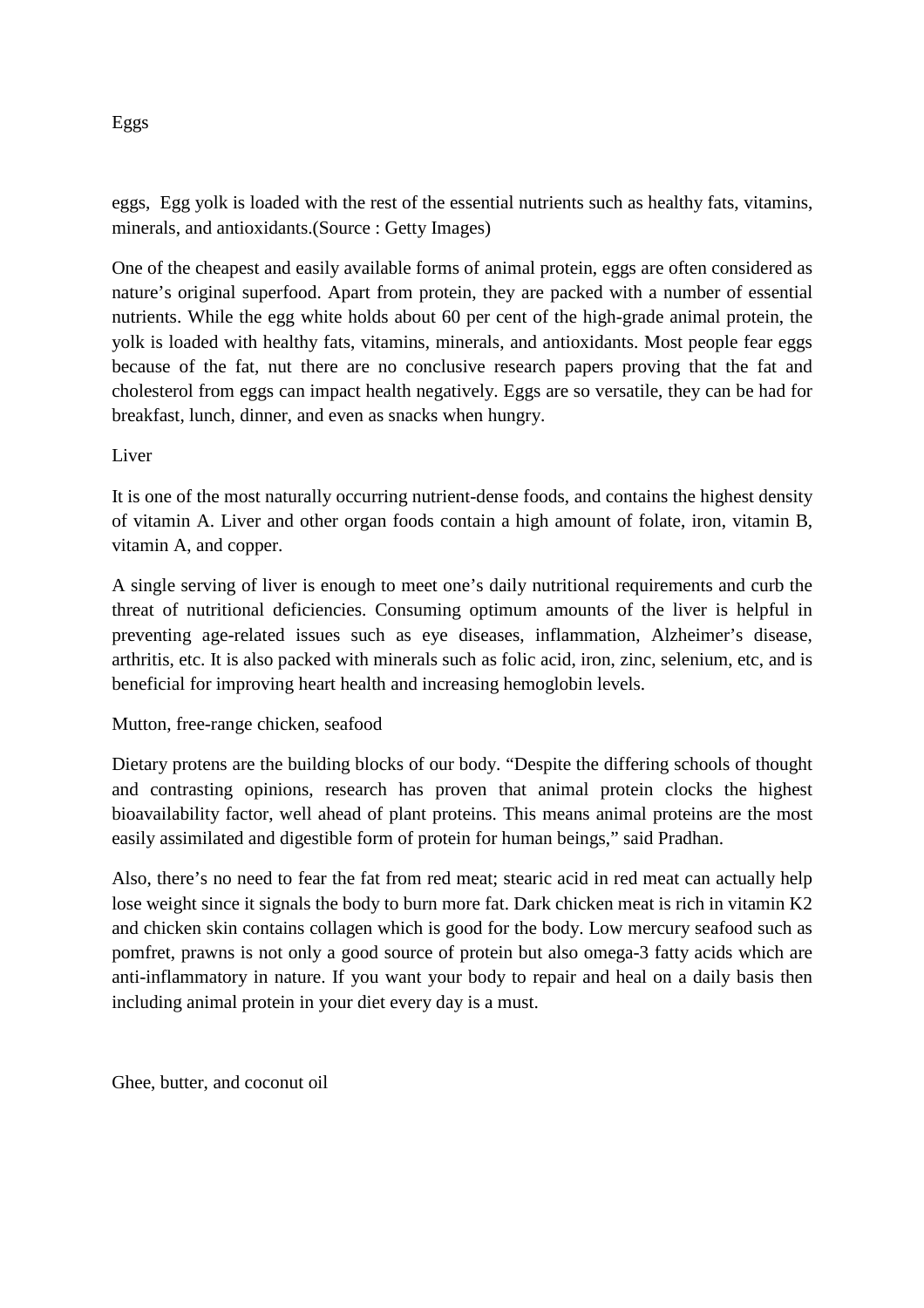#### Eggs

eggs, Egg yolk is loaded with the rest of the essential nutrients such as healthy fats, vitamins, minerals, and antioxidants.(Source : Getty Images)

One of the cheapest and easily available forms of animal protein, eggs are often considered as nature's original superfood. Apart from protein, they are packed with a number of essential nutrients. While the egg white holds about 60 per cent of the high-grade animal protein, the yolk is loaded with healthy fats, vitamins, minerals, and antioxidants. Most people fear eggs because of the fat, nut there are no conclusive research papers proving that the fat and cholesterol from eggs can impact health negatively. Eggs are so versatile, they can be had for breakfast, lunch, dinner, and even as snacks when hungry.

Liver

It is one of the most naturally occurring nutrient-dense foods, and contains the highest density of vitamin A. Liver and other organ foods contain a high amount of folate, iron, vitamin B, vitamin A, and copper.

A single serving of liver is enough to meet one's daily nutritional requirements and curb the threat of nutritional deficiencies. Consuming optimum amounts of the liver is helpful in preventing age-related issues such as eye diseases, inflammation, Alzheimer's disease, arthritis, etc. It is also packed with minerals such as folic acid, iron, zinc, selenium, etc, and is beneficial for improving heart health and increasing hemoglobin levels.

#### Mutton, free-range chicken, seafood

Dietary protens are the building blocks of our body. "Despite the differing schools of thought and contrasting opinions, research has proven that animal protein clocks the highest bioavailability factor, well ahead of plant proteins. This means animal proteins are the most easily assimilated and digestible form of protein for human beings," said Pradhan.

Also, there's no need to fear the fat from red meat; stearic acid in red meat can actually help lose weight since it signals the body to burn more fat. Dark chicken meat is rich in vitamin K2 and chicken skin contains collagen which is good for the body. Low mercury seafood such as pomfret, prawns is not only a good source of protein but also omega-3 fatty acids which are anti-inflammatory in nature. If you want your body to repair and heal on a daily basis then including animal protein in your diet every day is a must.

Ghee, butter, and coconut oil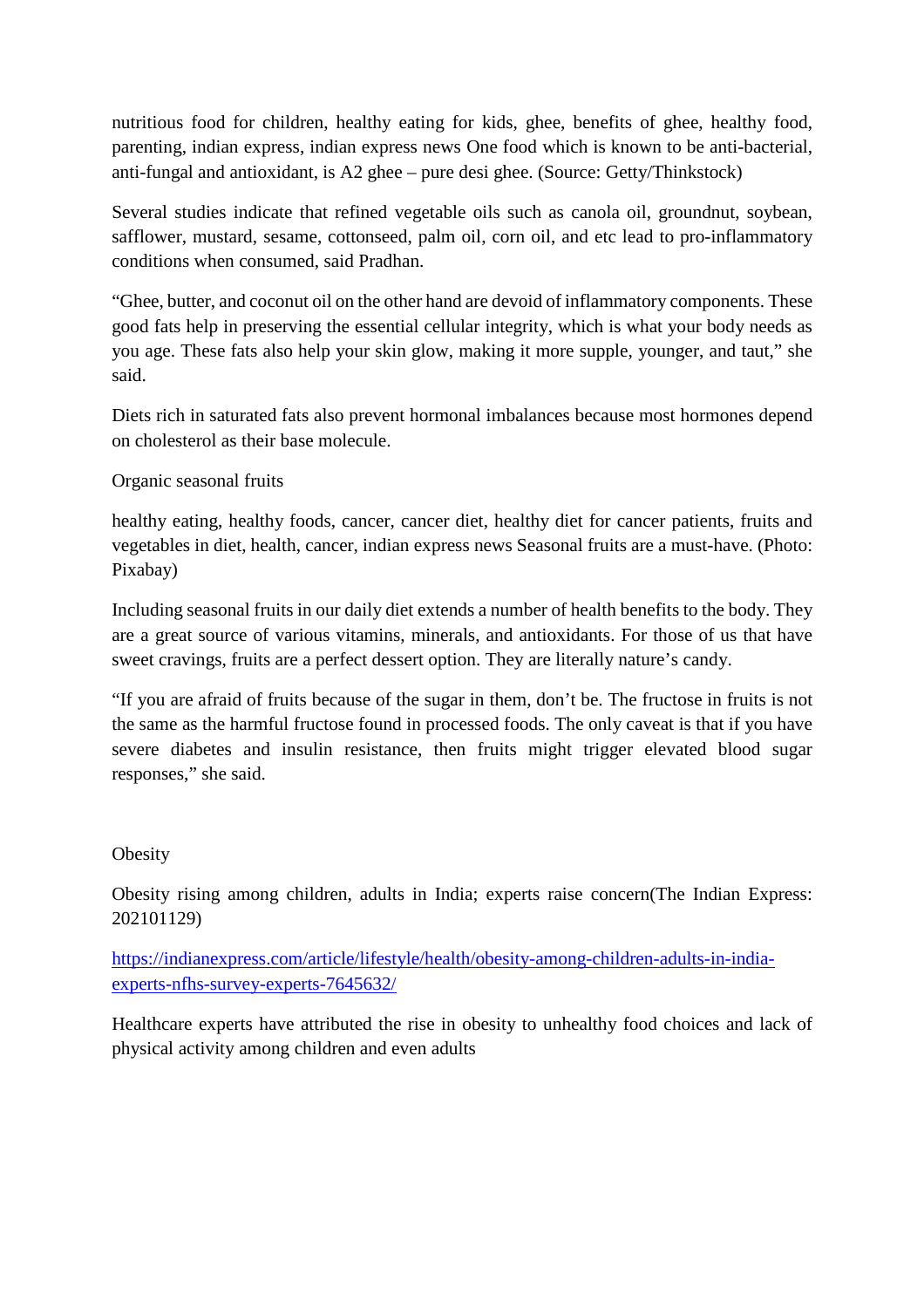nutritious food for children, healthy eating for kids, ghee, benefits of ghee, healthy food, parenting, indian express, indian express news One food which is known to be anti-bacterial, anti-fungal and antioxidant, is A2 ghee – pure desi ghee. (Source: Getty/Thinkstock)

Several studies indicate that refined vegetable oils such as canola oil, groundnut, soybean, safflower, mustard, sesame, cottonseed, palm oil, corn oil, and etc lead to pro-inflammatory conditions when consumed, said Pradhan.

"Ghee, butter, and coconut oil on the other hand are devoid of inflammatory components. These good fats help in preserving the essential cellular integrity, which is what your body needs as you age. These fats also help your skin glow, making it more supple, younger, and taut," she said.

Diets rich in saturated fats also prevent hormonal imbalances because most hormones depend on cholesterol as their base molecule.

#### Organic seasonal fruits

healthy eating, healthy foods, cancer, cancer diet, healthy diet for cancer patients, fruits and vegetables in diet, health, cancer, indian express news Seasonal fruits are a must-have. (Photo: Pixabay)

Including seasonal fruits in our daily diet extends a number of health benefits to the body. They are a great source of various vitamins, minerals, and antioxidants. For those of us that have sweet cravings, fruits are a perfect dessert option. They are literally nature's candy.

"If you are afraid of fruits because of the sugar in them, don't be. The fructose in fruits is not the same as the harmful fructose found in processed foods. The only caveat is that if you have severe diabetes and insulin resistance, then fruits might trigger elevated blood sugar responses," she said.

#### **Obesity**

Obesity rising among children, adults in India; experts raise concern(The Indian Express: 202101129)

https://indianexpress.com/article/lifestyle/health/obesity-among-children-adults-in-indiaexperts-nfhs-survey-experts-7645632/

Healthcare experts have attributed the rise in obesity to unhealthy food choices and lack of physical activity among children and even adults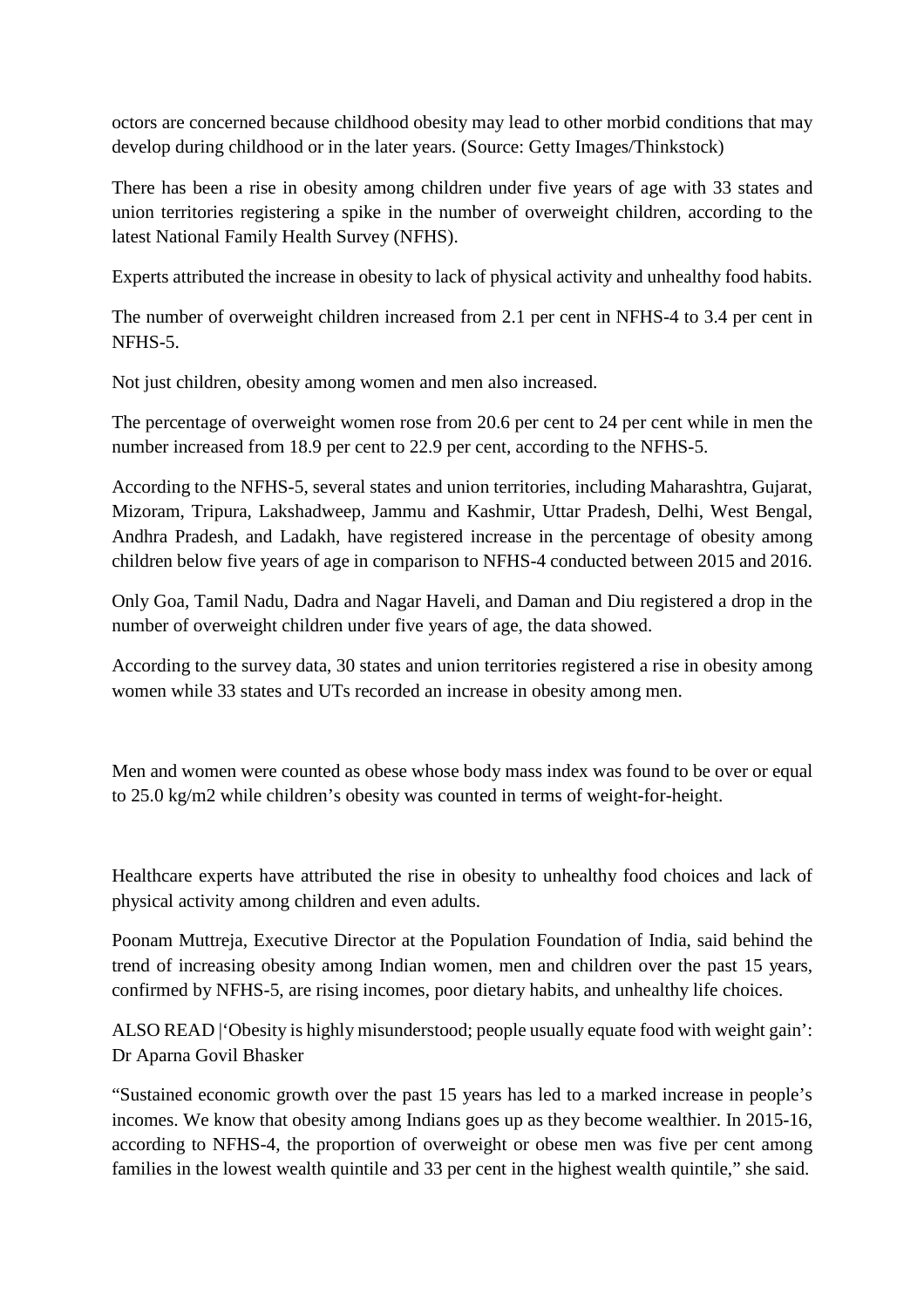octors are concerned because childhood obesity may lead to other morbid conditions that may develop during childhood or in the later years. (Source: Getty Images/Thinkstock)

There has been a rise in obesity among children under five years of age with 33 states and union territories registering a spike in the number of overweight children, according to the latest National Family Health Survey (NFHS).

Experts attributed the increase in obesity to lack of physical activity and unhealthy food habits.

The number of overweight children increased from 2.1 per cent in NFHS-4 to 3.4 per cent in NFHS-5.

Not just children, obesity among women and men also increased.

The percentage of overweight women rose from 20.6 per cent to 24 per cent while in men the number increased from 18.9 per cent to 22.9 per cent, according to the NFHS-5.

According to the NFHS-5, several states and union territories, including Maharashtra, Gujarat, Mizoram, Tripura, Lakshadweep, Jammu and Kashmir, Uttar Pradesh, Delhi, West Bengal, Andhra Pradesh, and Ladakh, have registered increase in the percentage of obesity among children below five years of age in comparison to NFHS-4 conducted between 2015 and 2016.

Only Goa, Tamil Nadu, Dadra and Nagar Haveli, and Daman and Diu registered a drop in the number of overweight children under five years of age, the data showed.

According to the survey data, 30 states and union territories registered a rise in obesity among women while 33 states and UTs recorded an increase in obesity among men.

Men and women were counted as obese whose body mass index was found to be over or equal to 25.0 kg/m2 while children's obesity was counted in terms of weight-for-height.

Healthcare experts have attributed the rise in obesity to unhealthy food choices and lack of physical activity among children and even adults.

Poonam Muttreja, Executive Director at the Population Foundation of India, said behind the trend of increasing obesity among Indian women, men and children over the past 15 years, confirmed by NFHS-5, are rising incomes, poor dietary habits, and unhealthy life choices.

ALSO READ |'Obesity is highly misunderstood; people usually equate food with weight gain': Dr Aparna Govil Bhasker

"Sustained economic growth over the past 15 years has led to a marked increase in people's incomes. We know that obesity among Indians goes up as they become wealthier. In 2015-16, according to NFHS-4, the proportion of overweight or obese men was five per cent among families in the lowest wealth quintile and 33 per cent in the highest wealth quintile," she said.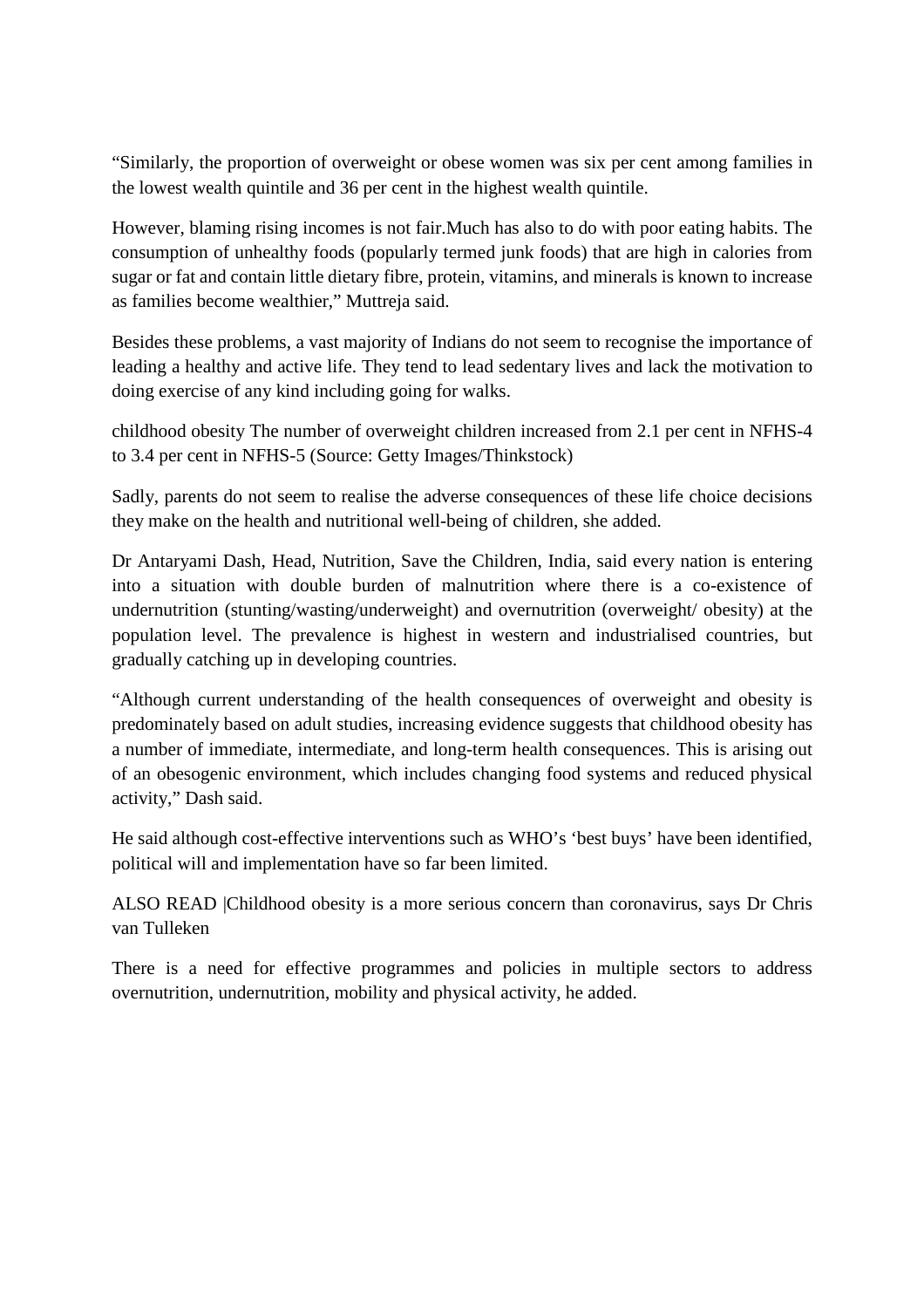"Similarly, the proportion of overweight or obese women was six per cent among families in the lowest wealth quintile and 36 per cent in the highest wealth quintile.

However, blaming rising incomes is not fair.Much has also to do with poor eating habits. The consumption of unhealthy foods (popularly termed junk foods) that are high in calories from sugar or fat and contain little dietary fibre, protein, vitamins, and minerals is known to increase as families become wealthier," Muttreja said.

Besides these problems, a vast majority of Indians do not seem to recognise the importance of leading a healthy and active life. They tend to lead sedentary lives and lack the motivation to doing exercise of any kind including going for walks.

childhood obesity The number of overweight children increased from 2.1 per cent in NFHS-4 to 3.4 per cent in NFHS-5 (Source: Getty Images/Thinkstock)

Sadly, parents do not seem to realise the adverse consequences of these life choice decisions they make on the health and nutritional well-being of children, she added.

Dr Antaryami Dash, Head, Nutrition, Save the Children, India, said every nation is entering into a situation with double burden of malnutrition where there is a co-existence of undernutrition (stunting/wasting/underweight) and overnutrition (overweight/ obesity) at the population level. The prevalence is highest in western and industrialised countries, but gradually catching up in developing countries.

"Although current understanding of the health consequences of overweight and obesity is predominately based on adult studies, increasing evidence suggests that childhood obesity has a number of immediate, intermediate, and long-term health consequences. This is arising out of an obesogenic environment, which includes changing food systems and reduced physical activity," Dash said.

He said although cost-effective interventions such as WHO's 'best buys' have been identified, political will and implementation have so far been limited.

ALSO READ |Childhood obesity is a more serious concern than coronavirus, says Dr Chris van Tulleken

There is a need for effective programmes and policies in multiple sectors to address overnutrition, undernutrition, mobility and physical activity, he added.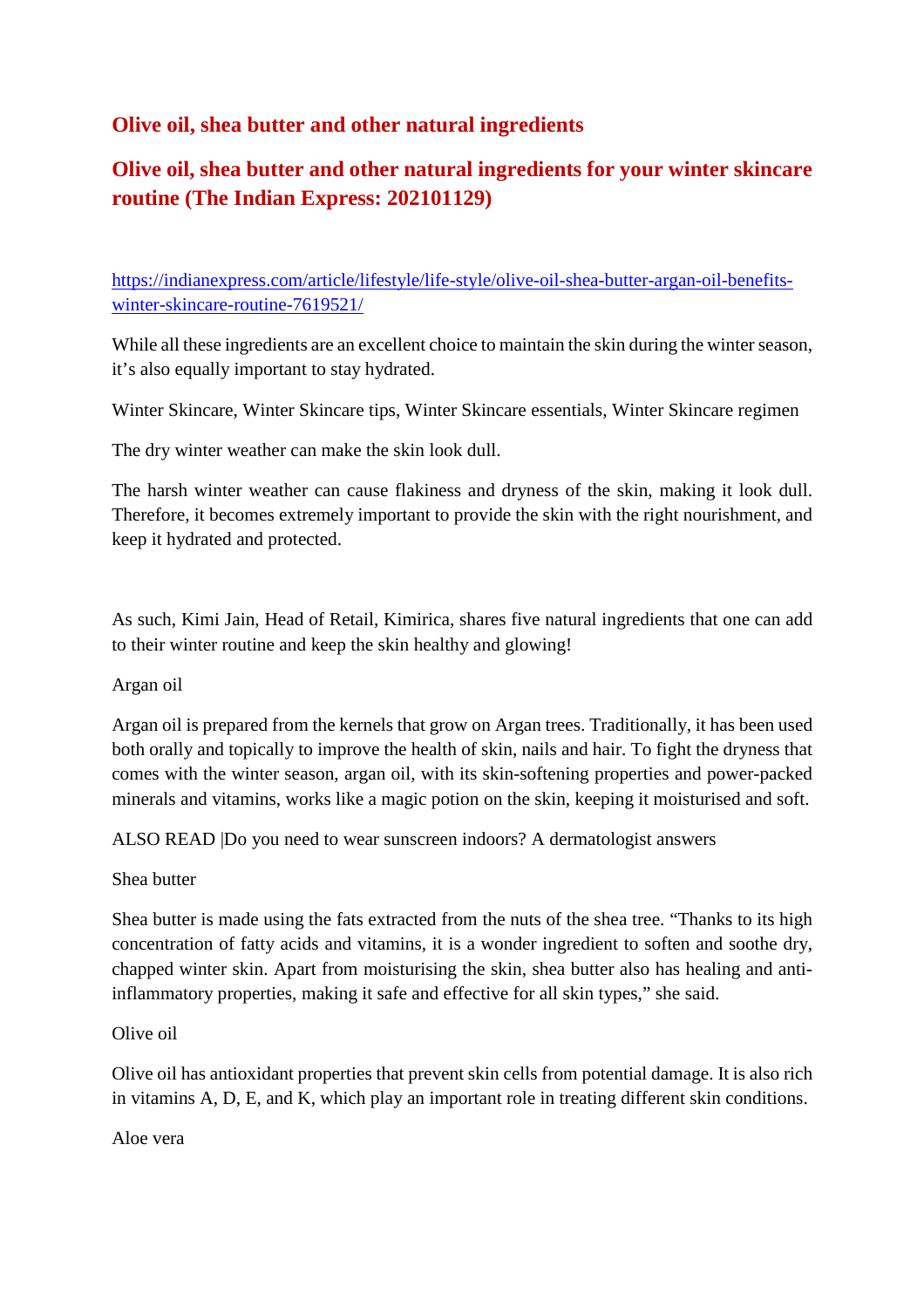# **Olive oil, shea butter and other natural ingredients**

# **Olive oil, shea butter and other natural ingredients for your winter skincare routine (The Indian Express: 202101129)**

https://indianexpress.com/article/lifestyle/life-style/olive-oil-shea-butter-argan-oil-benefitswinter-skincare-routine-7619521/

While all these ingredients are an excellent choice to maintain the skin during the winter season, it's also equally important to stay hydrated.

Winter Skincare, Winter Skincare tips, Winter Skincare essentials, Winter Skincare regimen

The dry winter weather can make the skin look dull.

The harsh winter weather can cause flakiness and dryness of the skin, making it look dull. Therefore, it becomes extremely important to provide the skin with the right nourishment, and keep it hydrated and protected.

As such, Kimi Jain, Head of Retail, Kimirica, shares five natural ingredients that one can add to their winter routine and keep the skin healthy and glowing!

Argan oil

Argan oil is prepared from the kernels that grow on Argan trees. Traditionally, it has been used both orally and topically to improve the health of skin, nails and hair. To fight the dryness that comes with the winter season, argan oil, with its skin-softening properties and power-packed minerals and vitamins, works like a magic potion on the skin, keeping it moisturised and soft.

ALSO READ |Do you need to wear sunscreen indoors? A dermatologist answers

Shea butter

Shea butter is made using the fats extracted from the nuts of the shea tree. "Thanks to its high concentration of fatty acids and vitamins, it is a wonder ingredient to soften and soothe dry, chapped winter skin. Apart from moisturising the skin, shea butter also has healing and antiinflammatory properties, making it safe and effective for all skin types," she said.

#### Olive oil

Olive oil has antioxidant properties that prevent skin cells from potential damage. It is also rich in vitamins A, D, E, and K, which play an important role in treating different skin conditions.

Aloe vera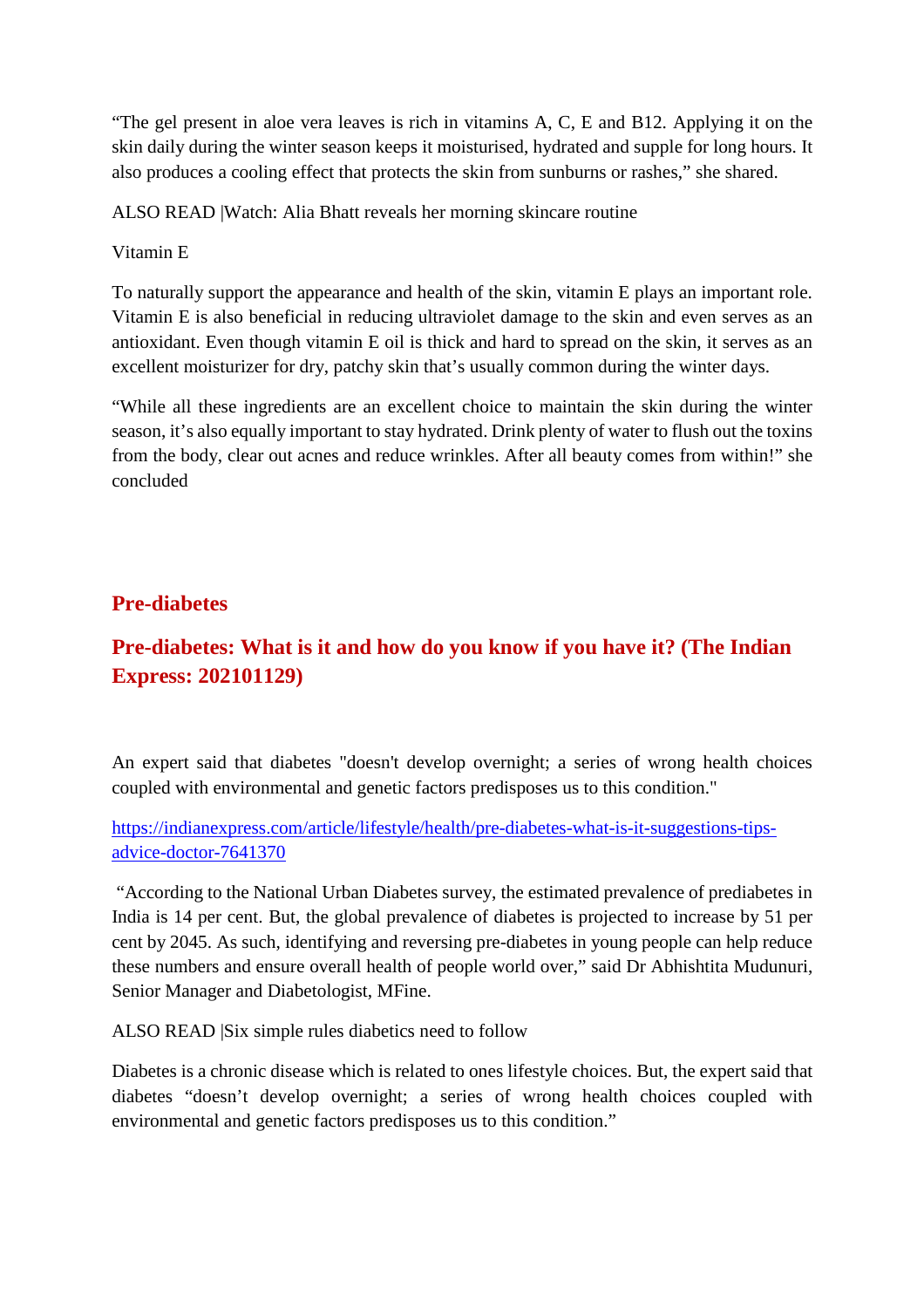"The gel present in aloe vera leaves is rich in vitamins A, C, E and B12. Applying it on the skin daily during the winter season keeps it moisturised, hydrated and supple for long hours. It also produces a cooling effect that protects the skin from sunburns or rashes," she shared.

ALSO READ |Watch: Alia Bhatt reveals her morning skincare routine

#### Vitamin E

To naturally support the appearance and health of the skin, vitamin E plays an important role. Vitamin E is also beneficial in reducing ultraviolet damage to the skin and even serves as an antioxidant. Even though vitamin E oil is thick and hard to spread on the skin, it serves as an excellent moisturizer for dry, patchy skin that's usually common during the winter days.

"While all these ingredients are an excellent choice to maintain the skin during the winter season, it's also equally important to stay hydrated. Drink plenty of water to flush out the toxins from the body, clear out acnes and reduce wrinkles. After all beauty comes from within!" she concluded

# **Pre-diabetes**

# **Pre-diabetes: What is it and how do you know if you have it? (The Indian Express: 202101129)**

An expert said that diabetes "doesn't develop overnight; a series of wrong health choices coupled with environmental and genetic factors predisposes us to this condition."

#### https://indianexpress.com/article/lifestyle/health/pre-diabetes-what-is-it-suggestions-tipsadvice-doctor-7641370

"According to the National Urban Diabetes survey, the estimated prevalence of prediabetes in India is 14 per cent. But, the global prevalence of diabetes is projected to increase by 51 per cent by 2045. As such, identifying and reversing pre-diabetes in young people can help reduce these numbers and ensure overall health of people world over," said Dr Abhishtita Mudunuri, Senior Manager and Diabetologist, MFine.

ALSO READ |Six simple rules diabetics need to follow

Diabetes is a chronic disease which is related to ones lifestyle choices. But, the expert said that diabetes "doesn't develop overnight; a series of wrong health choices coupled with environmental and genetic factors predisposes us to this condition."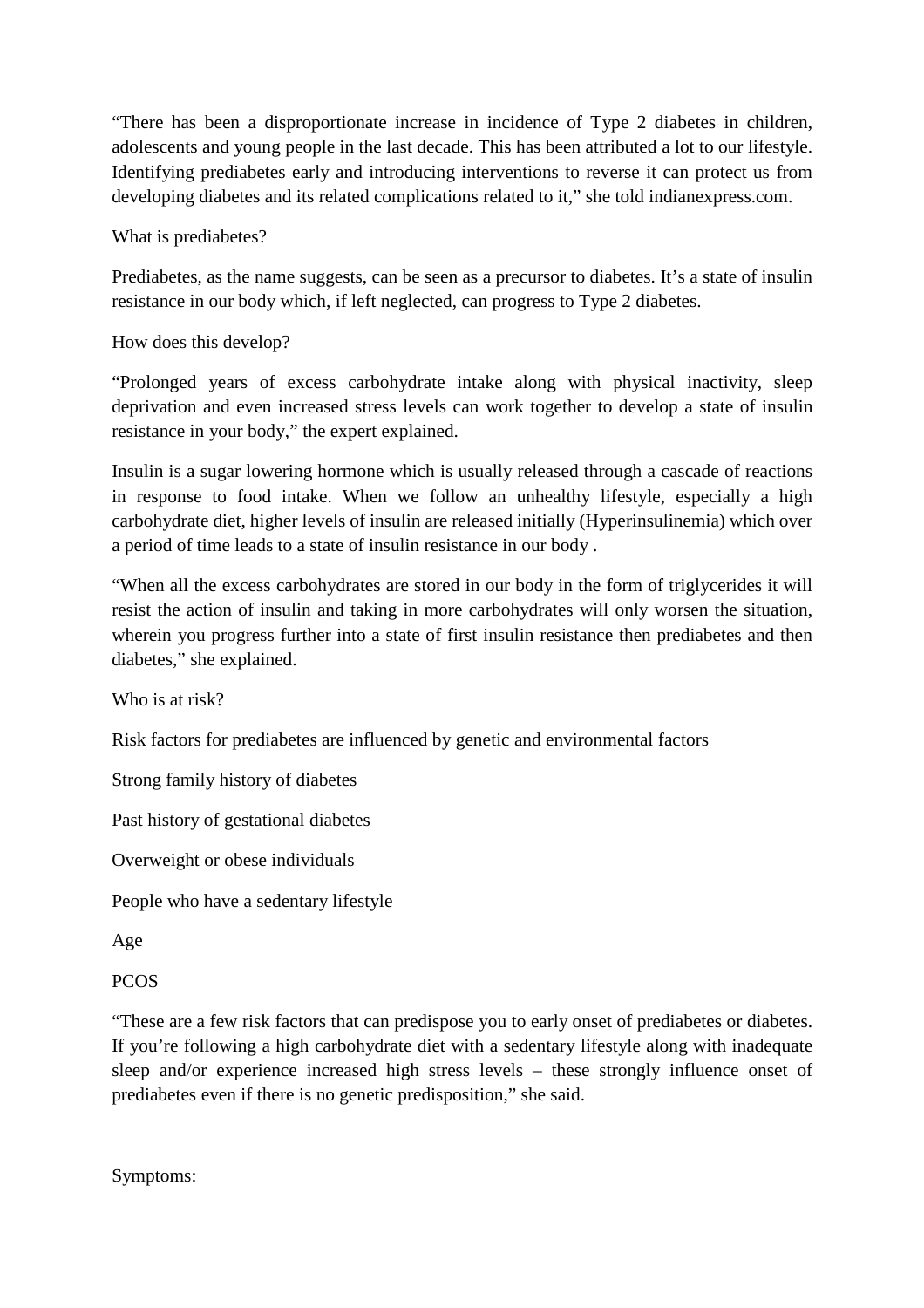"There has been a disproportionate increase in incidence of Type 2 diabetes in children, adolescents and young people in the last decade. This has been attributed a lot to our lifestyle. Identifying prediabetes early and introducing interventions to reverse it can protect us from developing diabetes and its related complications related to it," she told indianexpress.com.

What is prediabetes?

Prediabetes, as the name suggests, can be seen as a precursor to diabetes. It's a state of insulin resistance in our body which, if left neglected, can progress to Type 2 diabetes.

How does this develop?

"Prolonged years of excess carbohydrate intake along with physical inactivity, sleep deprivation and even increased stress levels can work together to develop a state of insulin resistance in your body," the expert explained.

Insulin is a sugar lowering hormone which is usually released through a cascade of reactions in response to food intake. When we follow an unhealthy lifestyle, especially a high carbohydrate diet, higher levels of insulin are released initially (Hyperinsulinemia) which over a period of time leads to a state of insulin resistance in our body .

"When all the excess carbohydrates are stored in our body in the form of triglycerides it will resist the action of insulin and taking in more carbohydrates will only worsen the situation, wherein you progress further into a state of first insulin resistance then prediabetes and then diabetes," she explained.

Who is at risk?

Risk factors for prediabetes are influenced by genetic and environmental factors

Strong family history of diabetes

Past history of gestational diabetes

Overweight or obese individuals

People who have a sedentary lifestyle

Age

PCOS

"These are a few risk factors that can predispose you to early onset of prediabetes or diabetes. If you're following a high carbohydrate diet with a sedentary lifestyle along with inadequate sleep and/or experience increased high stress levels – these strongly influence onset of prediabetes even if there is no genetic predisposition," she said.

Symptoms: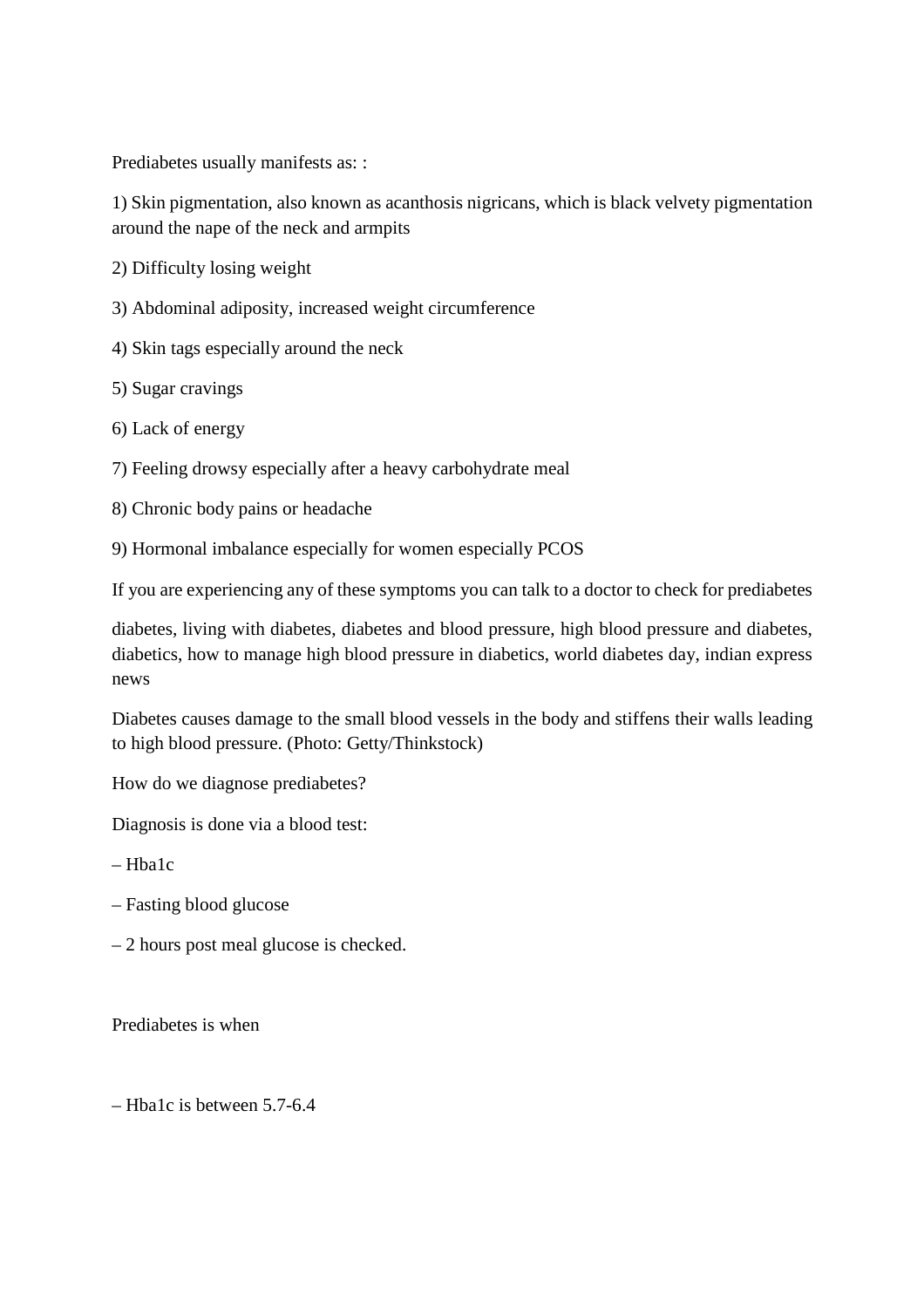Prediabetes usually manifests as: :

1) Skin pigmentation, also known as acanthosis nigricans, which is black velvety pigmentation around the nape of the neck and armpits

2) Difficulty losing weight

- 3) Abdominal adiposity, increased weight circumference
- 4) Skin tags especially around the neck

5) Sugar cravings

6) Lack of energy

7) Feeling drowsy especially after a heavy carbohydrate meal

8) Chronic body pains or headache

9) Hormonal imbalance especially for women especially PCOS

If you are experiencing any of these symptoms you can talk to a doctor to check for prediabetes

diabetes, living with diabetes, diabetes and blood pressure, high blood pressure and diabetes, diabetics, how to manage high blood pressure in diabetics, world diabetes day, indian express news

Diabetes causes damage to the small blood vessels in the body and stiffens their walls leading to high blood pressure. (Photo: Getty/Thinkstock)

How do we diagnose prediabetes?

Diagnosis is done via a blood test:

 $-$ Hha $1c$ 

- Fasting blood glucose
- 2 hours post meal glucose is checked.

Prediabetes is when

– Hba1c is between 5.7-6.4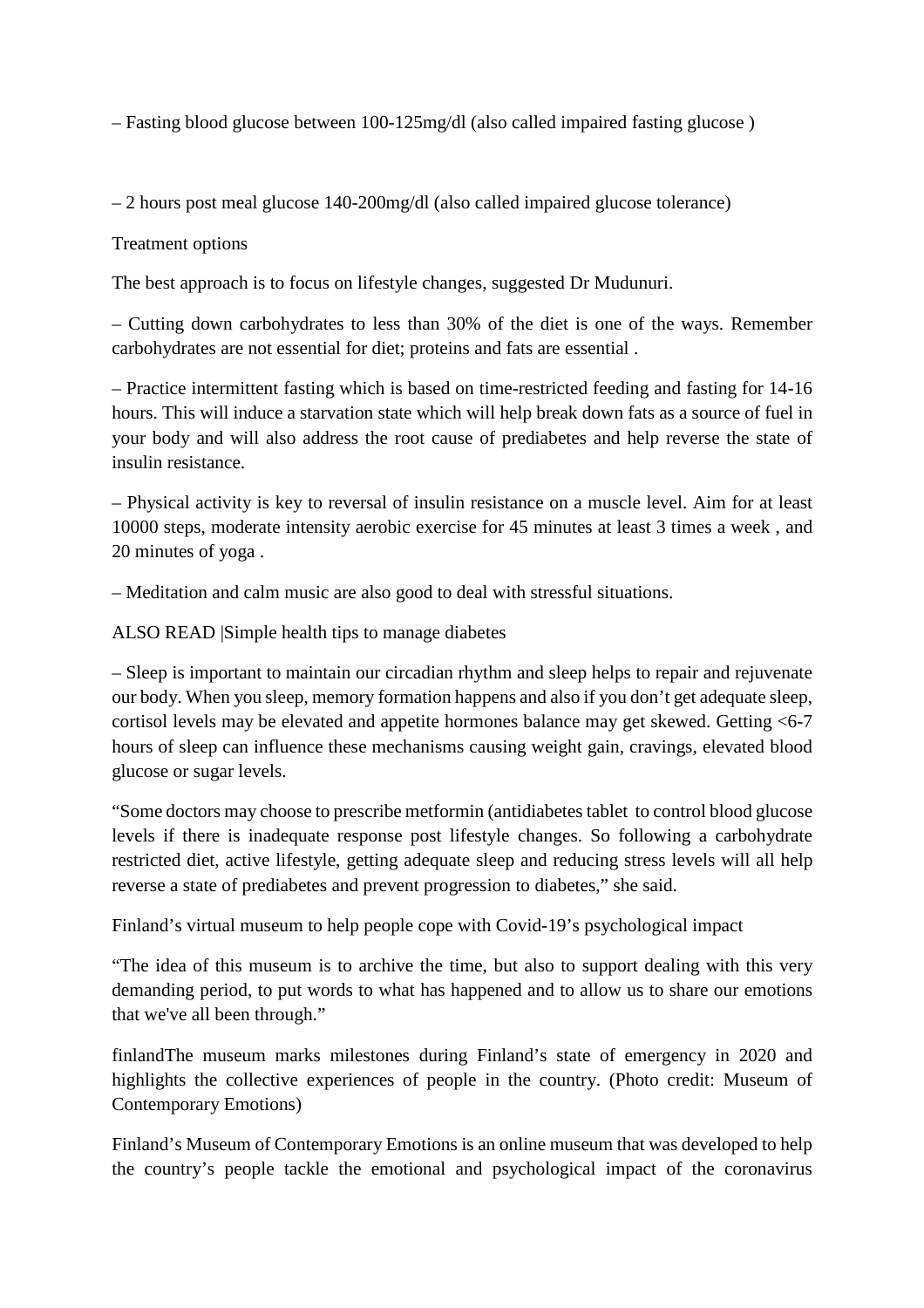– Fasting blood glucose between 100-125mg/dl (also called impaired fasting glucose )

– 2 hours post meal glucose 140-200mg/dl (also called impaired glucose tolerance)

Treatment options

The best approach is to focus on lifestyle changes, suggested Dr Mudunuri.

– Cutting down carbohydrates to less than 30% of the diet is one of the ways. Remember carbohydrates are not essential for diet; proteins and fats are essential .

– Practice intermittent fasting which is based on time-restricted feeding and fasting for 14-16 hours. This will induce a starvation state which will help break down fats as a source of fuel in your body and will also address the root cause of prediabetes and help reverse the state of insulin resistance.

– Physical activity is key to reversal of insulin resistance on a muscle level. Aim for at least 10000 steps, moderate intensity aerobic exercise for 45 minutes at least 3 times a week , and 20 minutes of yoga .

– Meditation and calm music are also good to deal with stressful situations.

ALSO READ |Simple health tips to manage diabetes

– Sleep is important to maintain our circadian rhythm and sleep helps to repair and rejuvenate our body. When you sleep, memory formation happens and also if you don't get adequate sleep, cortisol levels may be elevated and appetite hormones balance may get skewed. Getting <6-7 hours of sleep can influence these mechanisms causing weight gain, cravings, elevated blood glucose or sugar levels.

"Some doctors may choose to prescribe metformin (antidiabetes tablet to control blood glucose levels if there is inadequate response post lifestyle changes. So following a carbohydrate restricted diet, active lifestyle, getting adequate sleep and reducing stress levels will all help reverse a state of prediabetes and prevent progression to diabetes," she said.

Finland's virtual museum to help people cope with Covid-19's psychological impact

"The idea of this museum is to archive the time, but also to support dealing with this very demanding period, to put words to what has happened and to allow us to share our emotions that we've all been through."

finlandThe museum marks milestones during Finland's state of emergency in 2020 and highlights the collective experiences of people in the country. (Photo credit: Museum of Contemporary Emotions)

Finland's Museum of Contemporary Emotions is an online museum that was developed to help the country's people tackle the emotional and psychological impact of the coronavirus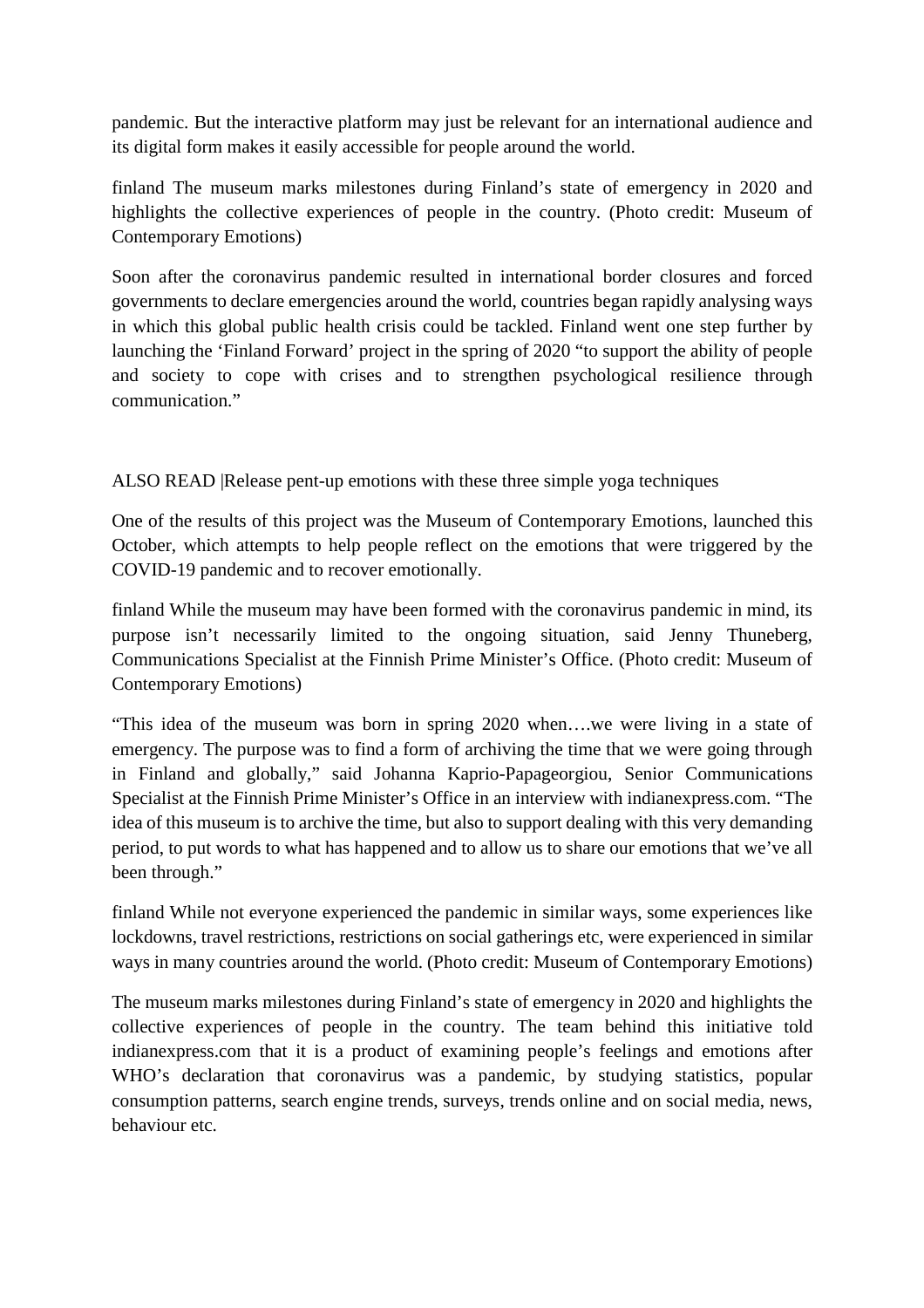pandemic. But the interactive platform may just be relevant for an international audience and its digital form makes it easily accessible for people around the world.

finland The museum marks milestones during Finland's state of emergency in 2020 and highlights the collective experiences of people in the country. (Photo credit: Museum of Contemporary Emotions)

Soon after the coronavirus pandemic resulted in international border closures and forced governments to declare emergencies around the world, countries began rapidly analysing ways in which this global public health crisis could be tackled. Finland went one step further by launching the 'Finland Forward' project in the spring of 2020 "to support the ability of people and society to cope with crises and to strengthen psychological resilience through communication."

ALSO READ |Release pent-up emotions with these three simple yoga techniques

One of the results of this project was the Museum of Contemporary Emotions, launched this October, which attempts to help people reflect on the emotions that were triggered by the COVID-19 pandemic and to recover emotionally.

finland While the museum may have been formed with the coronavirus pandemic in mind, its purpose isn't necessarily limited to the ongoing situation, said Jenny Thuneberg, Communications Specialist at the Finnish Prime Minister's Office. (Photo credit: Museum of Contemporary Emotions)

"This idea of the museum was born in spring 2020 when….we were living in a state of emergency. The purpose was to find a form of archiving the time that we were going through in Finland and globally," said Johanna Kaprio-Papageorgiou, Senior Communications Specialist at the Finnish Prime Minister's Office in an interview with indianexpress.com. "The idea of this museum is to archive the time, but also to support dealing with this very demanding period, to put words to what has happened and to allow us to share our emotions that we've all been through."

finland While not everyone experienced the pandemic in similar ways, some experiences like lockdowns, travel restrictions, restrictions on social gatherings etc, were experienced in similar ways in many countries around the world. (Photo credit: Museum of Contemporary Emotions)

The museum marks milestones during Finland's state of emergency in 2020 and highlights the collective experiences of people in the country. The team behind this initiative told indianexpress.com that it is a product of examining people's feelings and emotions after WHO's declaration that coronavirus was a pandemic, by studying statistics, popular consumption patterns, search engine trends, surveys, trends online and on social media, news, behaviour etc.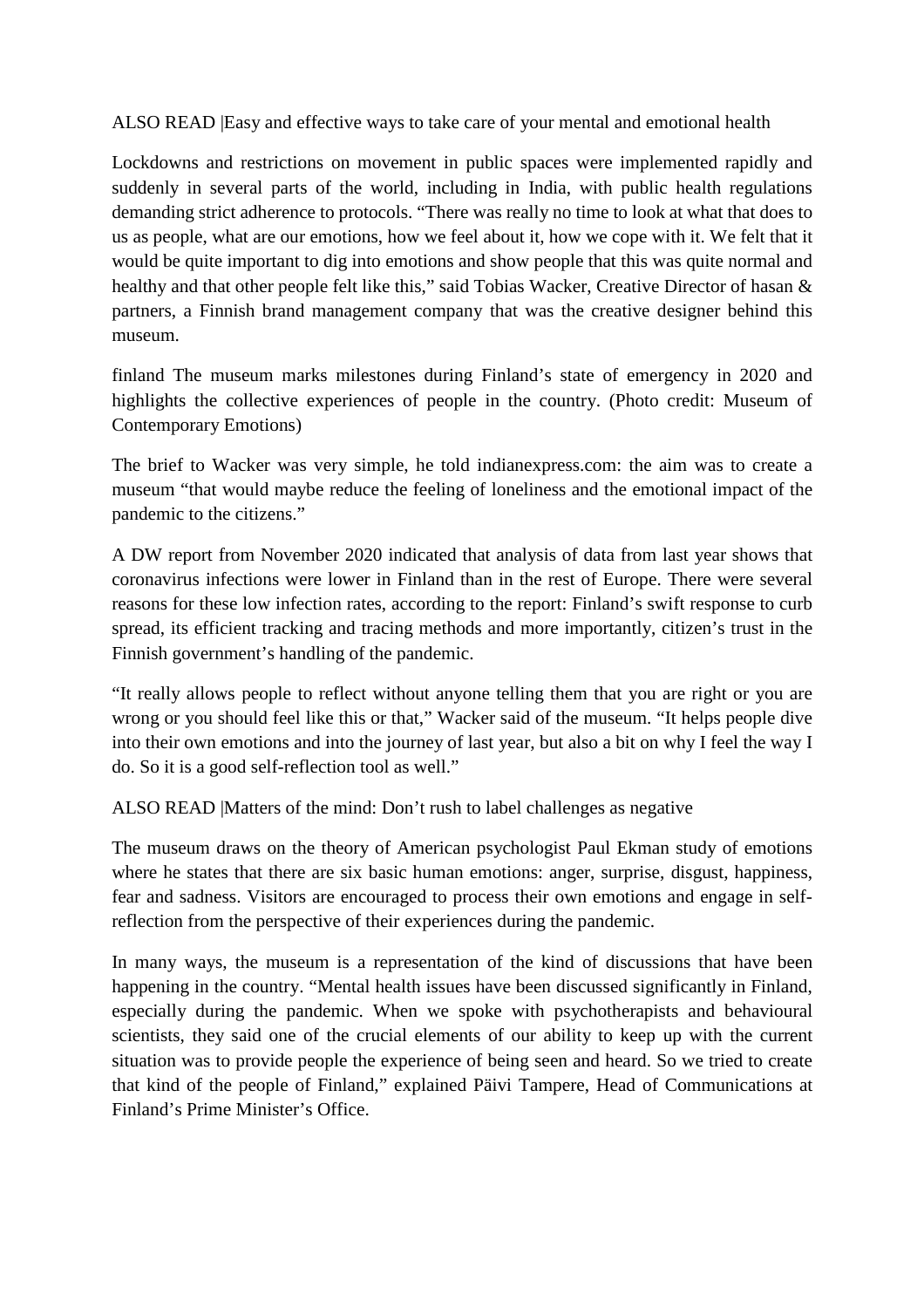ALSO READ |Easy and effective ways to take care of your mental and emotional health

Lockdowns and restrictions on movement in public spaces were implemented rapidly and suddenly in several parts of the world, including in India, with public health regulations demanding strict adherence to protocols. "There was really no time to look at what that does to us as people, what are our emotions, how we feel about it, how we cope with it. We felt that it would be quite important to dig into emotions and show people that this was quite normal and healthy and that other people felt like this," said Tobias Wacker, Creative Director of hasan & partners, a Finnish brand management company that was the creative designer behind this museum.

finland The museum marks milestones during Finland's state of emergency in 2020 and highlights the collective experiences of people in the country. (Photo credit: Museum of Contemporary Emotions)

The brief to Wacker was very simple, he told indianexpress.com: the aim was to create a museum "that would maybe reduce the feeling of loneliness and the emotional impact of the pandemic to the citizens."

A DW report from November 2020 indicated that analysis of data from last year shows that coronavirus infections were lower in Finland than in the rest of Europe. There were several reasons for these low infection rates, according to the report: Finland's swift response to curb spread, its efficient tracking and tracing methods and more importantly, citizen's trust in the Finnish government's handling of the pandemic.

"It really allows people to reflect without anyone telling them that you are right or you are wrong or you should feel like this or that," Wacker said of the museum. "It helps people dive into their own emotions and into the journey of last year, but also a bit on why I feel the way I do. So it is a good self-reflection tool as well."

ALSO READ |Matters of the mind: Don't rush to label challenges as negative

The museum draws on the theory of American psychologist Paul Ekman study of emotions where he states that there are six basic human emotions: anger, surprise, disgust, happiness, fear and sadness. Visitors are encouraged to process their own emotions and engage in selfreflection from the perspective of their experiences during the pandemic.

In many ways, the museum is a representation of the kind of discussions that have been happening in the country. "Mental health issues have been discussed significantly in Finland, especially during the pandemic. When we spoke with psychotherapists and behavioural scientists, they said one of the crucial elements of our ability to keep up with the current situation was to provide people the experience of being seen and heard. So we tried to create that kind of the people of Finland," explained Päivi Tampere, Head of Communications at Finland's Prime Minister's Office.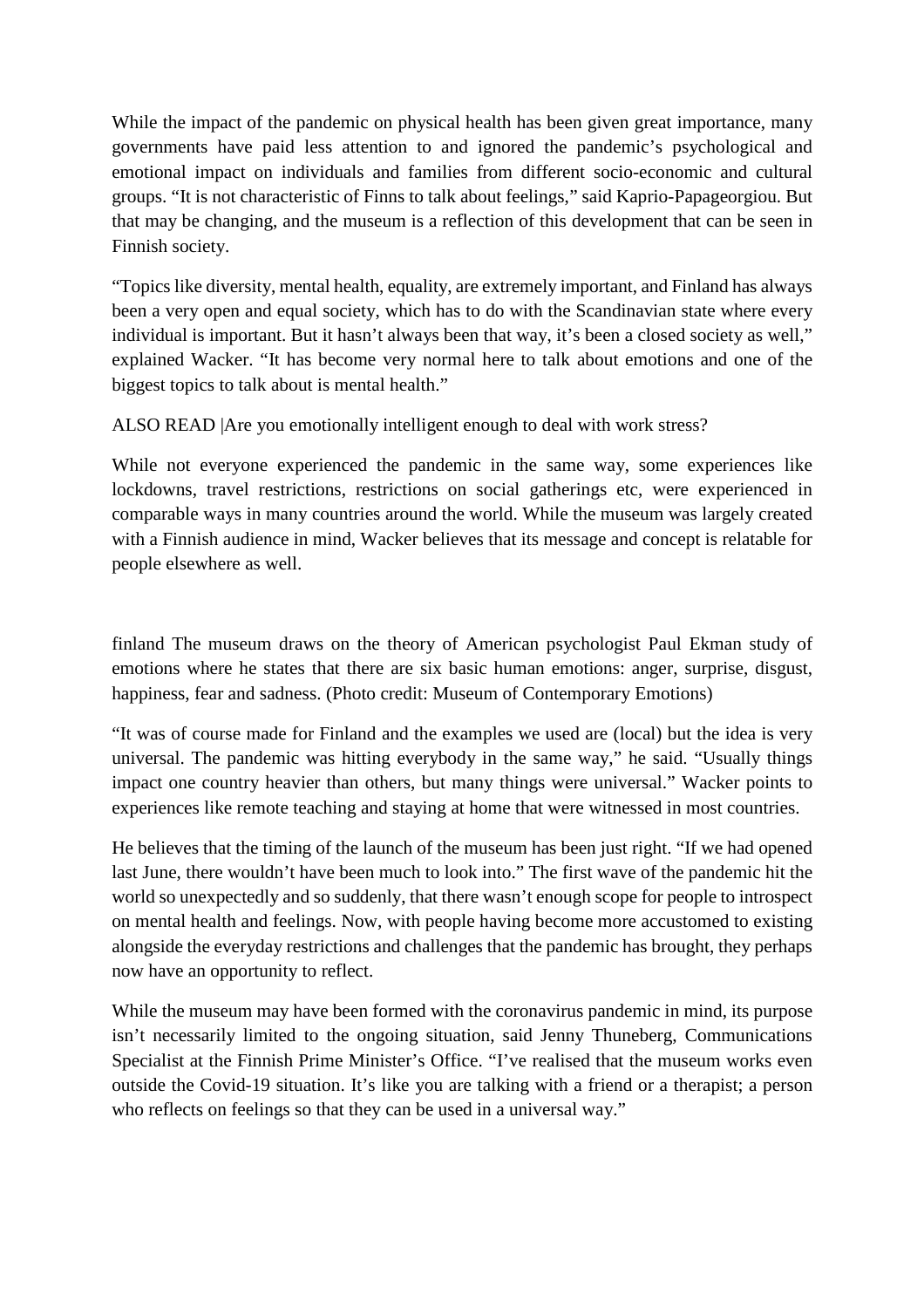While the impact of the pandemic on physical health has been given great importance, many governments have paid less attention to and ignored the pandemic's psychological and emotional impact on individuals and families from different socio-economic and cultural groups. "It is not characteristic of Finns to talk about feelings," said Kaprio-Papageorgiou. But that may be changing, and the museum is a reflection of this development that can be seen in Finnish society.

"Topics like diversity, mental health, equality, are extremely important, and Finland has always been a very open and equal society, which has to do with the Scandinavian state where every individual is important. But it hasn't always been that way, it's been a closed society as well," explained Wacker. "It has become very normal here to talk about emotions and one of the biggest topics to talk about is mental health."

ALSO READ |Are you emotionally intelligent enough to deal with work stress?

While not everyone experienced the pandemic in the same way, some experiences like lockdowns, travel restrictions, restrictions on social gatherings etc, were experienced in comparable ways in many countries around the world. While the museum was largely created with a Finnish audience in mind, Wacker believes that its message and concept is relatable for people elsewhere as well.

finland The museum draws on the theory of American psychologist Paul Ekman study of emotions where he states that there are six basic human emotions: anger, surprise, disgust, happiness, fear and sadness. (Photo credit: Museum of Contemporary Emotions)

"It was of course made for Finland and the examples we used are (local) but the idea is very universal. The pandemic was hitting everybody in the same way," he said. "Usually things impact one country heavier than others, but many things were universal." Wacker points to experiences like remote teaching and staying at home that were witnessed in most countries.

He believes that the timing of the launch of the museum has been just right. "If we had opened last June, there wouldn't have been much to look into." The first wave of the pandemic hit the world so unexpectedly and so suddenly, that there wasn't enough scope for people to introspect on mental health and feelings. Now, with people having become more accustomed to existing alongside the everyday restrictions and challenges that the pandemic has brought, they perhaps now have an opportunity to reflect.

While the museum may have been formed with the coronavirus pandemic in mind, its purpose isn't necessarily limited to the ongoing situation, said Jenny Thuneberg, Communications Specialist at the Finnish Prime Minister's Office. "I've realised that the museum works even outside the Covid-19 situation. It's like you are talking with a friend or a therapist; a person who reflects on feelings so that they can be used in a universal way."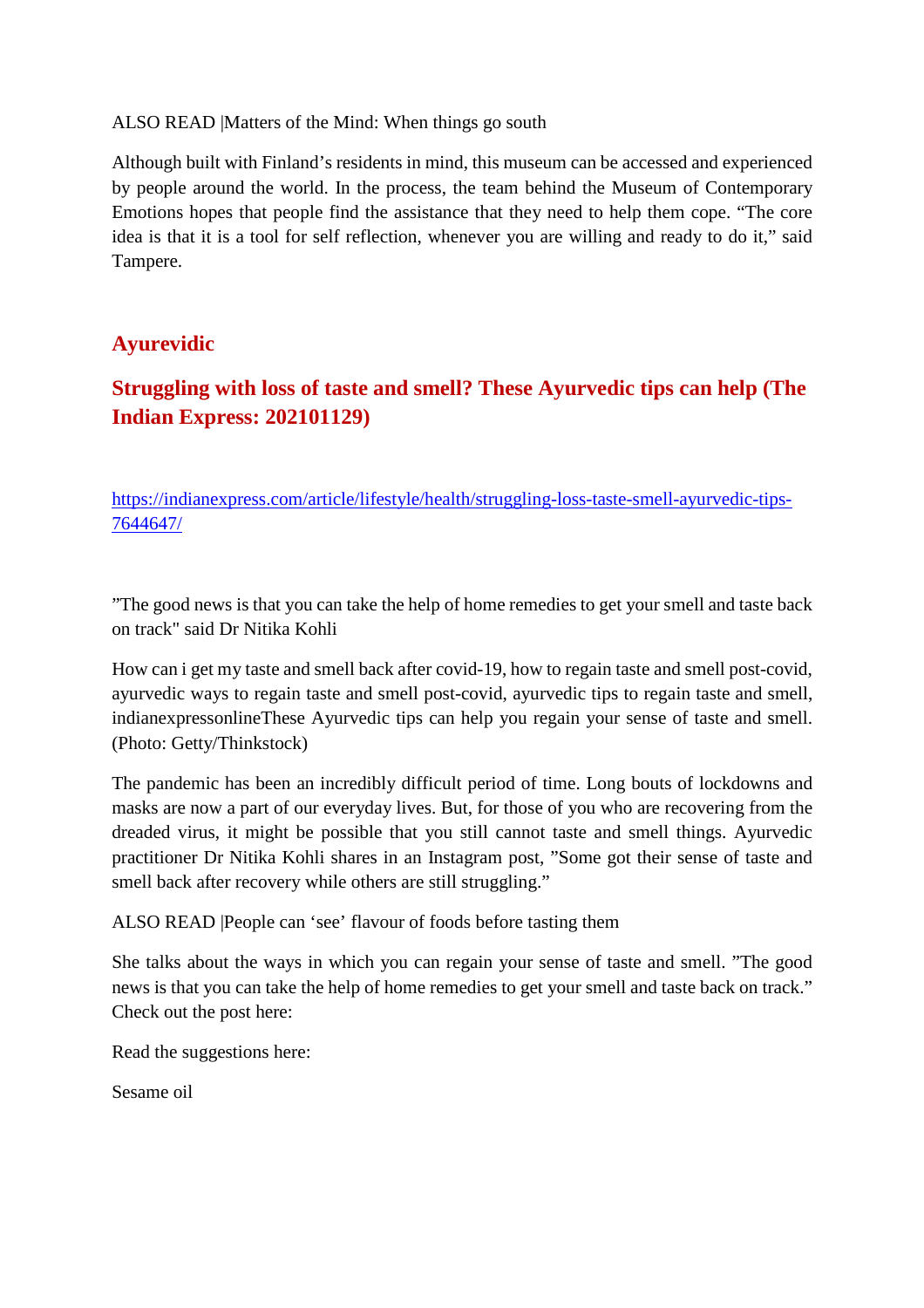#### ALSO READ |Matters of the Mind: When things go south

Although built with Finland's residents in mind, this museum can be accessed and experienced by people around the world. In the process, the team behind the Museum of Contemporary Emotions hopes that people find the assistance that they need to help them cope. "The core idea is that it is a tool for self reflection, whenever you are willing and ready to do it," said Tampere.

# **Ayurevidic**

# **Struggling with loss of taste and smell? These Ayurvedic tips can help (The Indian Express: 202101129)**

https://indianexpress.com/article/lifestyle/health/struggling-loss-taste-smell-ayurvedic-tips-7644647/

"The good news is that you can take the help of home remedies to get your smell and taste back on track" said Dr Nitika Kohli

How can i get my taste and smell back after covid-19, how to regain taste and smell post-covid, ayurvedic ways to regain taste and smell post-covid, ayurvedic tips to regain taste and smell, indianexpressonlineThese Ayurvedic tips can help you regain your sense of taste and smell. (Photo: Getty/Thinkstock)

The pandemic has been an incredibly difficult period of time. Long bouts of lockdowns and masks are now a part of our everyday lives. But, for those of you who are recovering from the dreaded virus, it might be possible that you still cannot taste and smell things. Ayurvedic practitioner Dr Nitika Kohli shares in an Instagram post, "Some got their sense of taste and smell back after recovery while others are still struggling."

ALSO READ |People can 'see' flavour of foods before tasting them

She talks about the ways in which you can regain your sense of taste and smell. "The good news is that you can take the help of home remedies to get your smell and taste back on track." Check out the post here:

Read the suggestions here:

Sesame oil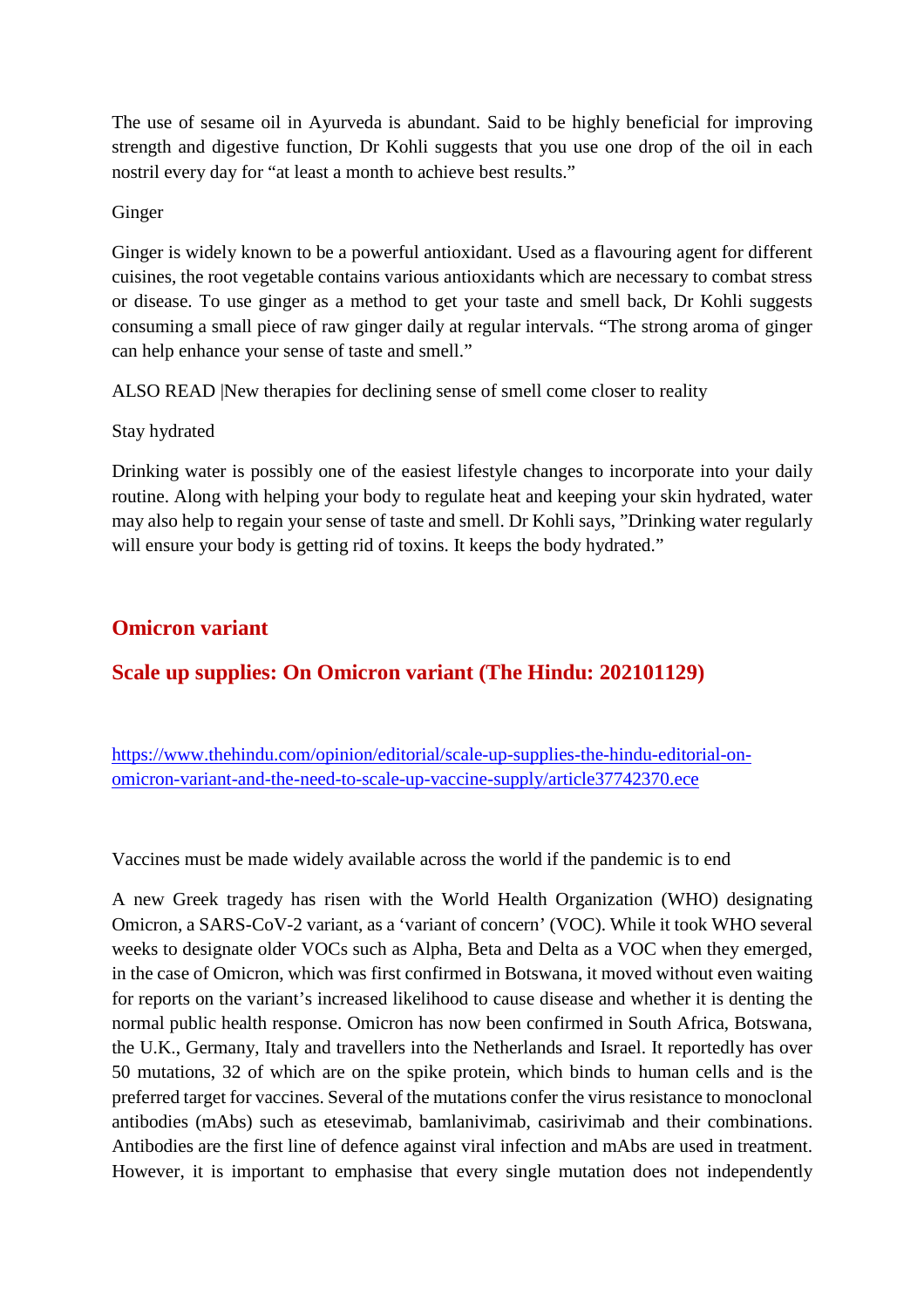The use of sesame oil in Ayurveda is abundant. Said to be highly beneficial for improving strength and digestive function, Dr Kohli suggests that you use one drop of the oil in each nostril every day for "at least a month to achieve best results."

#### Ginger

Ginger is widely known to be a powerful antioxidant. Used as a flavouring agent for different cuisines, the root vegetable contains various antioxidants which are necessary to combat stress or disease. To use ginger as a method to get your taste and smell back, Dr Kohli suggests consuming a small piece of raw ginger daily at regular intervals. "The strong aroma of ginger can help enhance your sense of taste and smell."

ALSO READ |New therapies for declining sense of smell come closer to reality

#### Stay hydrated

Drinking water is possibly one of the easiest lifestyle changes to incorporate into your daily routine. Along with helping your body to regulate heat and keeping your skin hydrated, water may also help to regain your sense of taste and smell. Dr Kohli says, "Drinking water regularly will ensure your body is getting rid of toxins. It keeps the body hydrated."

# **Omicron variant**

# **Scale up supplies: On Omicron variant (The Hindu: 202101129)**

https://www.thehindu.com/opinion/editorial/scale-up-supplies-the-hindu-editorial-onomicron-variant-and-the-need-to-scale-up-vaccine-supply/article37742370.ece

Vaccines must be made widely available across the world if the pandemic is to end

A new Greek tragedy has risen with the World Health Organization (WHO) designating Omicron, a SARS-CoV-2 variant, as a 'variant of concern' (VOC). While it took WHO several weeks to designate older VOCs such as Alpha, Beta and Delta as a VOC when they emerged, in the case of Omicron, which was first confirmed in Botswana, it moved without even waiting for reports on the variant's increased likelihood to cause disease and whether it is denting the normal public health response. Omicron has now been confirmed in South Africa, Botswana, the U.K., Germany, Italy and travellers into the Netherlands and Israel. It reportedly has over 50 mutations, 32 of which are on the spike protein, which binds to human cells and is the preferred target for vaccines. Several of the mutations confer the virus resistance to monoclonal antibodies (mAbs) such as etesevimab, bamlanivimab, casirivimab and their combinations. Antibodies are the first line of defence against viral infection and mAbs are used in treatment. However, it is important to emphasise that every single mutation does not independently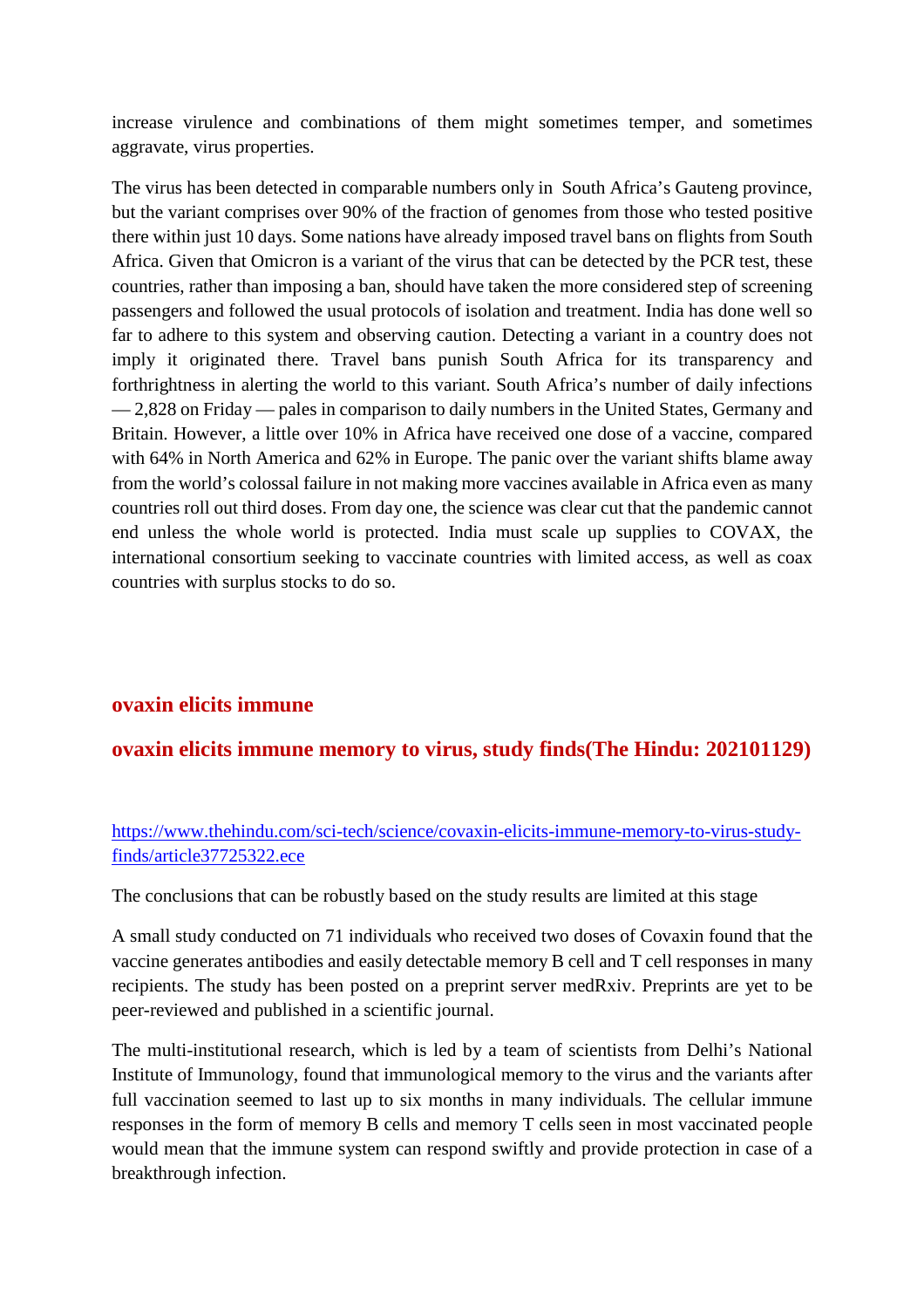increase virulence and combinations of them might sometimes temper, and sometimes aggravate, virus properties.

The virus has been detected in comparable numbers only in South Africa's Gauteng province, but the variant comprises over 90% of the fraction of genomes from those who tested positive there within just 10 days. Some nations have already imposed travel bans on flights from South Africa. Given that Omicron is a variant of the virus that can be detected by the PCR test, these countries, rather than imposing a ban, should have taken the more considered step of screening passengers and followed the usual protocols of isolation and treatment. India has done well so far to adhere to this system and observing caution. Detecting a variant in a country does not imply it originated there. Travel bans punish South Africa for its transparency and forthrightness in alerting the world to this variant. South Africa's number of daily infections — 2,828 on Friday — pales in comparison to daily numbers in the United States, Germany and Britain. However, a little over 10% in Africa have received one dose of a vaccine, compared with 64% in North America and 62% in Europe. The panic over the variant shifts blame away from the world's colossal failure in not making more vaccines available in Africa even as many countries roll out third doses. From day one, the science was clear cut that the pandemic cannot end unless the whole world is protected. India must scale up supplies to COVAX, the international consortium seeking to vaccinate countries with limited access, as well as coax countries with surplus stocks to do so.

#### **ovaxin elicits immune**

#### **ovaxin elicits immune memory to virus, study finds(The Hindu: 202101129)**

https://www.thehindu.com/sci-tech/science/covaxin-elicits-immune-memory-to-virus-studyfinds/article37725322.ece

The conclusions that can be robustly based on the study results are limited at this stage

A small study conducted on 71 individuals who received two doses of Covaxin found that the vaccine generates antibodies and easily detectable memory B cell and T cell responses in many recipients. The study has been posted on a preprint server medRxiv. Preprints are yet to be peer-reviewed and published in a scientific journal.

The multi-institutional research, which is led by a team of scientists from Delhi's National Institute of Immunology, found that immunological memory to the virus and the variants after full vaccination seemed to last up to six months in many individuals. The cellular immune responses in the form of memory B cells and memory T cells seen in most vaccinated people would mean that the immune system can respond swiftly and provide protection in case of a breakthrough infection.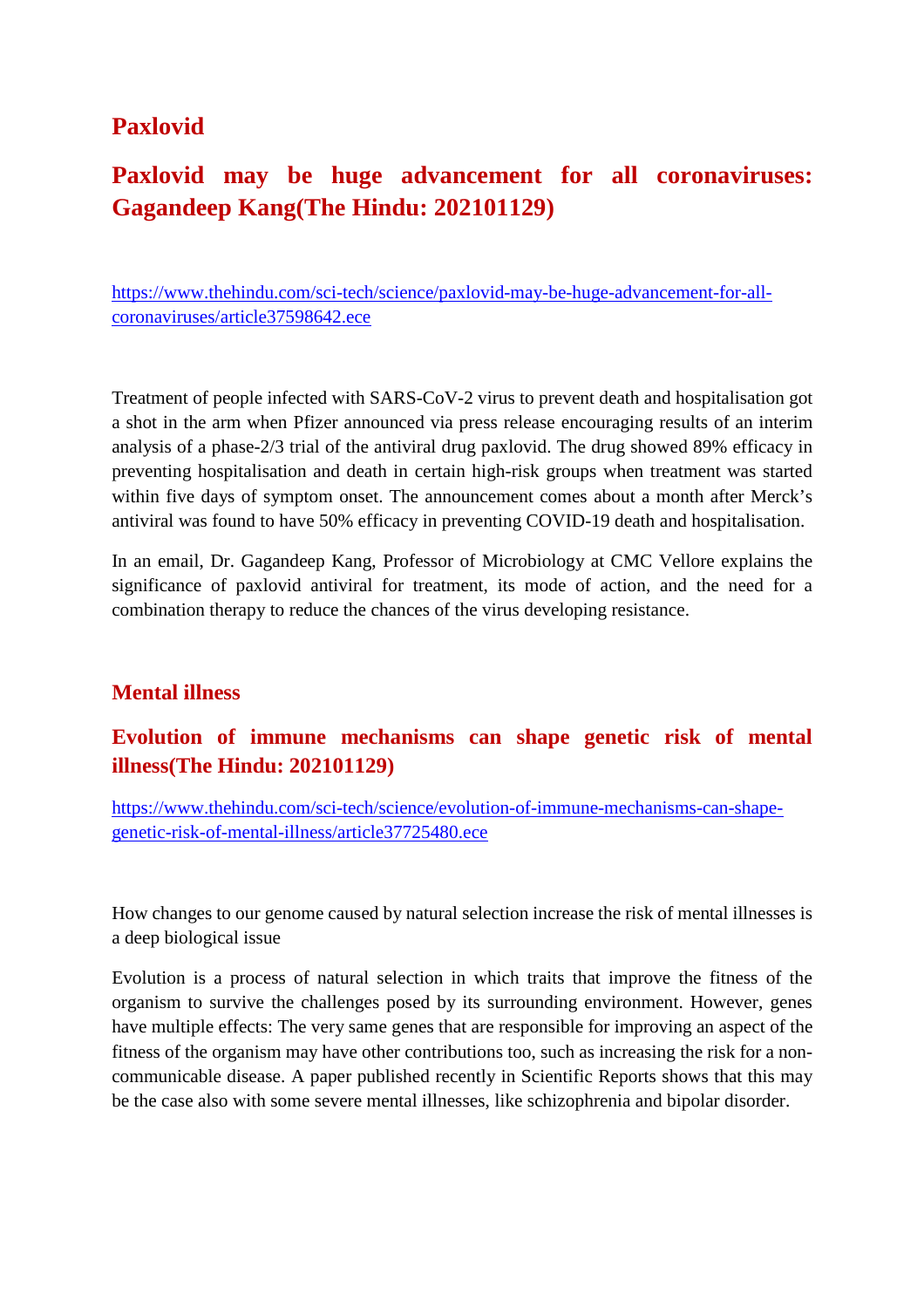# **Paxlovid**

# **Paxlovid may be huge advancement for all coronaviruses: Gagandeep Kang(The Hindu: 202101129)**

https://www.thehindu.com/sci-tech/science/paxlovid-may-be-huge-advancement-for-allcoronaviruses/article37598642.ece

Treatment of people infected with SARS-CoV-2 virus to prevent death and hospitalisation got a shot in the arm when Pfizer announced via press release encouraging results of an interim analysis of a phase-2/3 trial of the antiviral drug paxlovid. The drug showed 89% efficacy in preventing hospitalisation and death in certain high-risk groups when treatment was started within five days of symptom onset. The announcement comes about a month after Merck's antiviral was found to have 50% efficacy in preventing COVID-19 death and hospitalisation.

In an email, Dr. Gagandeep Kang, Professor of Microbiology at CMC Vellore explains the significance of paxlovid antiviral for treatment, its mode of action, and the need for a combination therapy to reduce the chances of the virus developing resistance.

# **Mental illness**

# **Evolution of immune mechanisms can shape genetic risk of mental illness(The Hindu: 202101129)**

https://www.thehindu.com/sci-tech/science/evolution-of-immune-mechanisms-can-shapegenetic-risk-of-mental-illness/article37725480.ece

How changes to our genome caused by natural selection increase the risk of mental illnesses is a deep biological issue

Evolution is a process of natural selection in which traits that improve the fitness of the organism to survive the challenges posed by its surrounding environment. However, genes have multiple effects: The very same genes that are responsible for improving an aspect of the fitness of the organism may have other contributions too, such as increasing the risk for a noncommunicable disease. A paper published recently in Scientific Reports shows that this may be the case also with some severe mental illnesses, like schizophrenia and bipolar disorder.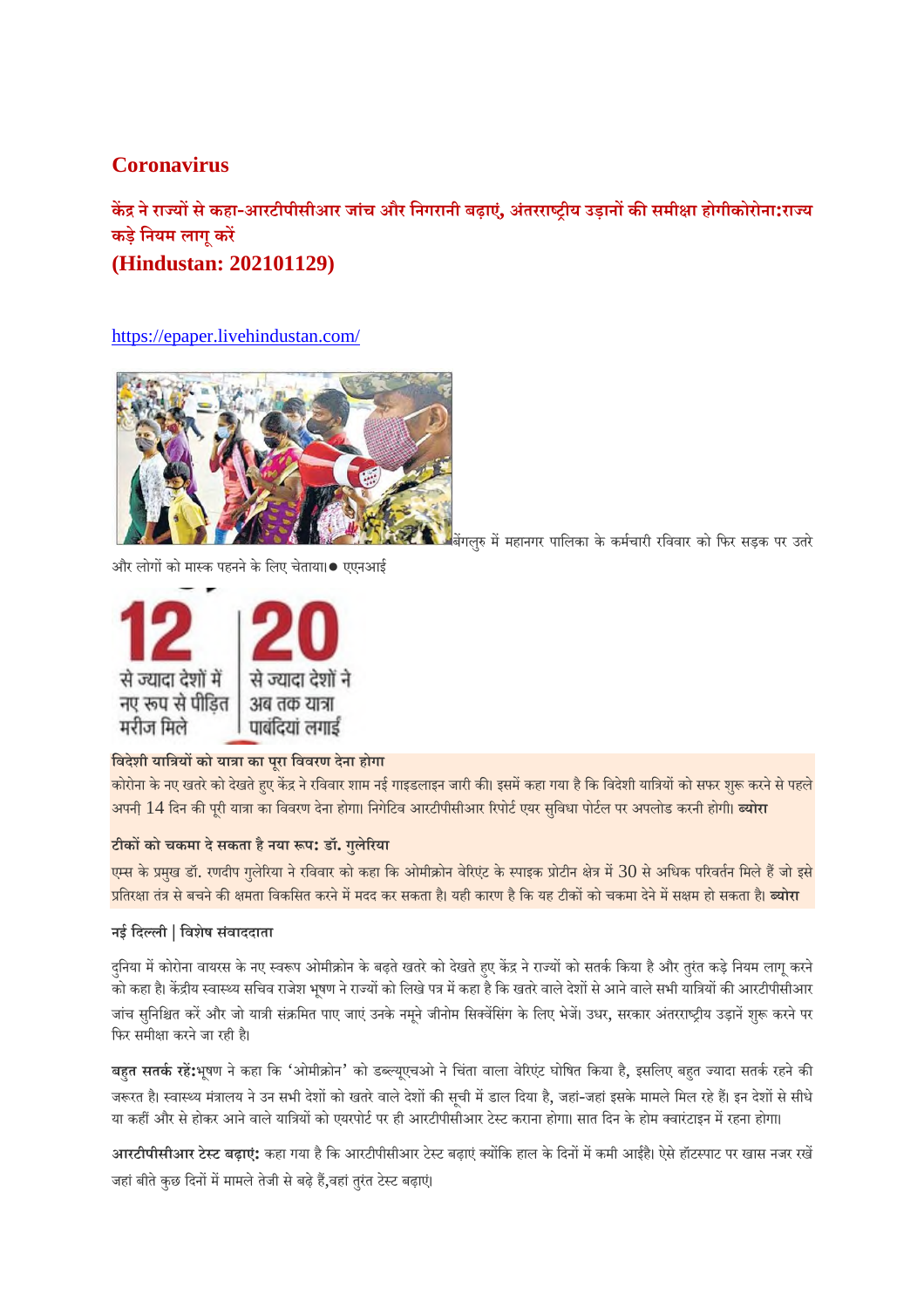# **Coronavirus**

**कनेरायसेकहा-आरटीपीसीआर जांच और िनगरानी बढ़ाए,ं अंतरराीय उड़ानकसमीा होगीकोरोना:राय कड़ेिनयम लागूकर**

**(Hindustan: 202101129)**

https://epaper.livehindustan.com/



बगलु ममहानगर पािलका के कमचारी रिववार को िफर सड़क पर उतरे

और लोगों को मास्क पहनने के लिए चेताया।● एएनआई



#### **िवदेशी याियको याा का पूरा िववरण देना होगा**

कोरोना के नए खतरे को देखते हुए केंद्र ने रविवार शाम नई गाइडलाइन जारी की। इसमें कहा गया है कि विदेशी यात्रियों को सफर शुरू करने से पहले अपनी 14 दिन की पूरी यात्रा का विवरण देना होगा। निगेटिव आरटीपीसीआर रिपोर्ट एयर सुविधा पोर्टल पर अपलो<mark>ड करनी होगी। <mark>ब्योरा</mark></mark>

#### **टीकको चकमा देसकता हैनया प: डॉ. गुलेरया**

एम्स के प्रमुख डॉ. रणदीप गुलेरिया ने रविवार को कहा कि ओमीक्रोन वेरिएंट के स्पाइक प्रोटीन क्षेत्र में 30 से अधिक परिवर्तन मिले हैं जो इसे <mark>प्रतिरक्षा तंत्र से बचने की क्षमता विकसित करने में मदद कर सकता है। यही कारण है कि यह टीकों को चकमा देने में सक्षम हो सकता है। **ब्योरा**</mark>

#### **नई िदली | िवशेष सवं ाददाता**

दनिया में कोरोना वायरस के नए स्वरूप ओमीक्रोन के बढ़ते खतरे को देखते हए केंद्र ने राज्यों को सतर्क किया है और तुरंत कड़े नियम लागू करने .<br>को कहा है। केंद्रीय स्वास्थ्य सचिव राजेश भूषण ने राज्यों को लिखे पत्र में कहा है कि खतरे वाले देशों से आने वाले सभी यात्रियों की आरटीपीसीआर जांच सुनिश्चित करें और जो यात्री संक्रमित पाए जाएं उनके नमने जीनोम सिक्वेंसिंग के लिए भेजें। उधर, सरकार अंतरराष्ट्रीय उड़ानें शुरू करने पर फिर समीक्षा करने जा रही है।

बहत सतर्क रहें:भूषण ने कहा कि 'ओमीक्रोन' को डब्ल्यूएचओ ने चिंता वाला वेरिएंट घोषित किया है, इसलिए बहुत ज्यादा सतर्क रहने की जरूरत है। स्वास्थ्य मंत्रालय ने उन सभी देशों को खतरे वाले देशों की सची में डाल दिया है, जहां-जहां इसके मामले मिल रहे हैं। इन देशों से सीधे या कहीं और से होकर आने वाले यात्रियों को एयरपोर्ट पर ही आरटीपीसीआर टेस्ट कराना होगा। सात दिन के होम क्वारंटाइन में रहना होगा।

आरटीपीसीआर टेस्ट बढ़ाएं: कहा गया है कि आरटीपीसीआर टेस्ट बढ़ाएं क्योंकि हाल के दिनों में कमी आईहै। ऐसे हॉटस्पाट पर खास नजर रखें जहां बीते कुछ दिनों में मामले तेजी से बढ़े हैं,वहां तुरंत टेस्ट बढ़ाएं।